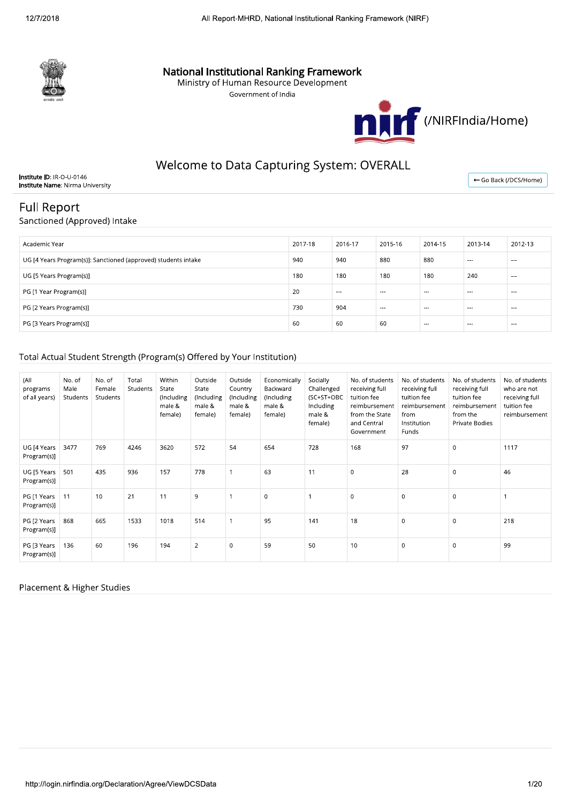

# **National Institutional Ranking Framework**<br>Ministry of Human Resource Development

Government of India



# Welcome to Data Capturing System: OVERALL

Institute ID: IR-O-U-0146 **Institute Name: Nirma University** 

← Go Back (/DCS/Home)

# **Full Report**

## Sanctioned (Approved) Intake

| Academic Year                                                  | 2017-18 | 2016-17 | 2015-16  | 2014-15 | 2013-14  | 2012-13              |
|----------------------------------------------------------------|---------|---------|----------|---------|----------|----------------------|
| UG [4 Years Program(s)]: Sanctioned (approved) students intake | 940     | 940     | 880      | 880     | $\cdots$ | $- - -$              |
| UG [5 Years Program(s)]                                        | 180     | 180     | 180      | 180     | 240      | $- - -$              |
| PG [1 Year Program(s)]                                         | 20      | $- - -$ | $- - -$  | $- - -$ | $- - -$  | $\sim$ $\sim$ $\sim$ |
| PG [2 Years Program(s)]                                        | 730     | 904     | $\cdots$ | $- - -$ | $\cdots$ | $- - -$              |
| PG [3 Years Program(s)]                                        | 60      | 60      | -60      | $- - -$ | $- - -$  | $- - -$              |

# Total Actual Student Strength (Program(s) Offered by Your Institution)

| (All<br>programs<br>of all years) | No. of<br>Male<br>Students | No. of<br>Female<br>Students | Total<br>Students | Within<br>State<br>(Including<br>male &<br>female) | Outside<br>State<br>(Including<br>male &<br>female) | Outside<br>Country<br>(Including<br>male &<br>female) | Economically<br>Backward<br>(Including<br>male &<br>female) | Socially<br>Challenged<br>(SC+ST+OBC<br>Including<br>male &<br>female) | No. of students<br>receiving full<br>tuition fee<br>reimbursement<br>from the State<br>and Central<br>Government | No. of students<br>receiving full<br>tuition fee<br>reimbursement<br>from<br>Institution<br>Funds | No. of students<br>receiving full<br>tuition fee<br>reimbursement<br>from the<br>Private Bodies | No. of students<br>who are not<br>receiving full<br>tuition fee<br>reimbursement |
|-----------------------------------|----------------------------|------------------------------|-------------------|----------------------------------------------------|-----------------------------------------------------|-------------------------------------------------------|-------------------------------------------------------------|------------------------------------------------------------------------|------------------------------------------------------------------------------------------------------------------|---------------------------------------------------------------------------------------------------|-------------------------------------------------------------------------------------------------|----------------------------------------------------------------------------------|
| UG [4 Years<br>Program(s)]        | 3477                       | 769                          | 4246              | 3620                                               | 572                                                 | 54                                                    | 654                                                         | 728                                                                    | 168                                                                                                              | 97                                                                                                | $\mathbf 0$                                                                                     | 1117                                                                             |
| UG [5 Years<br>Program(s)]        | 501                        | 435                          | 936               | 157                                                | 778                                                 |                                                       | 63                                                          | 11                                                                     | $\mathbf 0$                                                                                                      | 28                                                                                                | $\mathbf 0$                                                                                     | 46                                                                               |
| PG [1 Years<br>Program(s)]        | 11                         | 10                           | 21                | 11                                                 | 9                                                   |                                                       | $\mathbf 0$                                                 |                                                                        | $\Omega$                                                                                                         | $\mathbf 0$                                                                                       | $\mathbf 0$                                                                                     |                                                                                  |
| PG [2 Years<br>Program(s)]        | 868                        | 665                          | 1533              | 1018                                               | 514                                                 |                                                       | 95                                                          | 141                                                                    | 18                                                                                                               | $\mathbf 0$                                                                                       | $\mathbf 0$                                                                                     | 218                                                                              |
| PG [3 Years<br>Program(s)]        | 136                        | 60                           | 196               | 194                                                | $\overline{2}$                                      | $\Omega$                                              | 59                                                          | 50                                                                     | 10                                                                                                               | $\mathbf 0$                                                                                       | $\mathbf 0$                                                                                     | 99                                                                               |

#### Placement & Higher Studies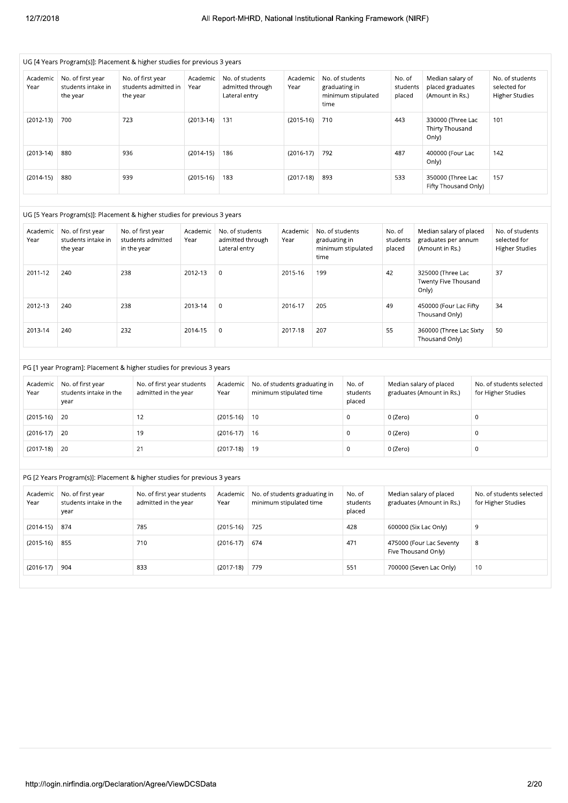|                  | UG [4 Years Program(s)]: Placement & higher studies for previous 3 years |             |                                                    |                  |                                                      |     |                                                          |                                          |                                       |                              |                                                                   |         |                                                          |
|------------------|--------------------------------------------------------------------------|-------------|----------------------------------------------------|------------------|------------------------------------------------------|-----|----------------------------------------------------------|------------------------------------------|---------------------------------------|------------------------------|-------------------------------------------------------------------|---------|----------------------------------------------------------|
| Academic<br>Year | No. of first year<br>students intake in<br>the year                      | the year    | No. of first year<br>students admitted in          | Academic<br>Year | No. of students<br>admitted through<br>Lateral entry |     | Academic<br>Year                                         | graduating in<br>time                    | No. of students<br>minimum stipulated | No. of<br>students<br>placed | Median salary of<br>placed graduates<br>(Amount in Rs.)           |         | No. of students<br>selected for<br><b>Higher Studies</b> |
| $(2012-13)$      | 700                                                                      | 723         |                                                    | $(2013-14)$      | 131                                                  |     | $(2015-16)$                                              | 710                                      |                                       | 443                          | 330000 (Three Lac<br>Thirty Thousand<br>Only)                     |         | 101                                                      |
| $(2013-14)$      | 880                                                                      | 936         |                                                    | $(2014-15)$      | 186                                                  |     | $(2016-17)$                                              | 792                                      |                                       | 487                          | 400000 (Four Lac<br>Only)                                         |         | 142                                                      |
| $(2014-15)$      | 880                                                                      | 939         |                                                    | $(2015-16)$      | 183                                                  |     | $(2017-18)$                                              | 893                                      |                                       | 533                          | 350000 (Three Lac<br>Fifty Thousand Only)                         |         | 157                                                      |
|                  | UG [5 Years Program(s)]: Placement & higher studies for previous 3 years |             |                                                    |                  |                                                      |     |                                                          |                                          |                                       |                              |                                                                   |         |                                                          |
| Academic<br>Year | No. of first year<br>students intake in<br>the year                      | in the year | No. of first year<br>students admitted             | Academic<br>Year | No. of students<br>admitted through<br>Lateral entry |     | Academic<br>Year                                         | No. of students<br>graduating in<br>time | minimum stipulated                    | No. of<br>students<br>placed | Median salary of placed<br>graduates per annum<br>(Amount in Rs.) |         | No. of students<br>selected for<br><b>Higher Studies</b> |
| 2011-12          | 240                                                                      | 238         |                                                    | 2012-13          | $\boldsymbol{0}$                                     |     | 2015-16                                                  | 199                                      |                                       | 42                           | 325000 (Three Lac<br>Twenty Five Thousand<br>Only)                |         | 37                                                       |
| 2012-13          | 240                                                                      | 238         |                                                    | 2013-14          | $\boldsymbol{0}$                                     |     | 2016-17                                                  | 205                                      |                                       | 49                           | 450000 (Four Lac Fifty<br>Thousand Only)                          |         | 34                                                       |
| 2013-14          | 240                                                                      | 232         |                                                    | 2014-15          | $\mathbf 0$                                          |     | 2017-18                                                  | 207                                      |                                       | 55                           | 360000 (Three Lac Sixty<br>Thousand Only)                         |         | 50                                                       |
|                  | PG [1 year Program]: Placement & higher studies for previous 3 years     |             |                                                    |                  |                                                      |     |                                                          |                                          |                                       |                              |                                                                   |         |                                                          |
| Academic<br>Year | No. of first year<br>students intake in the<br>year                      |             | No. of first year students<br>admitted in the year |                  | Academic<br>Year                                     |     | No. of students graduating in<br>minimum stipulated time |                                          | No. of<br>students<br>placed          |                              | Median salary of placed<br>graduates (Amount in Rs.)              |         | No. of students selected<br>for Higher Studies           |
| $(2015-16)$      | 20                                                                       |             | 12                                                 |                  | $(2015-16)$                                          | 10  |                                                          |                                          | $\boldsymbol{0}$                      | 0 (Zero)                     |                                                                   | $\,0\,$ |                                                          |
| $(2016-17)$      | 20                                                                       |             | 19                                                 |                  | $(2016-17)$                                          | 16  |                                                          |                                          | $\boldsymbol{0}$                      | 0 (Zero)                     |                                                                   | 0       |                                                          |
| $(2017-18)$      | 20                                                                       |             | 21                                                 |                  | $(2017-18)$                                          | 19  |                                                          |                                          | $\boldsymbol{0}$                      | 0 (Zero)                     |                                                                   | $\,0\,$ |                                                          |
|                  | PG [2 Years Program(s)]: Placement & higher studies for previous 3 years |             |                                                    |                  |                                                      |     |                                                          |                                          |                                       |                              |                                                                   |         |                                                          |
| Academic<br>Year | No. of first year<br>students intake in the<br>year                      |             | No. of first year students<br>admitted in the year |                  | Academic<br>Year                                     |     | No. of students graduating in<br>minimum stipulated time |                                          | No. of<br>students<br>placed          |                              | Median salary of placed<br>graduates (Amount in Rs.)              |         | No. of students selected<br>for Higher Studies           |
| $(2014-15)$      | 874                                                                      |             | 785                                                |                  | $(2015-16)$                                          | 725 |                                                          |                                          | 428                                   |                              | 600000 (Six Lac Only)                                             | 9       |                                                          |
| $(2015-16)$      | 855                                                                      |             | 710                                                |                  | $(2016-17)$                                          | 674 |                                                          |                                          | 471                                   |                              | 475000 (Four Lac Seventy<br>Five Thousand Only)                   | 8       |                                                          |
| $(2016-17)$      | 904                                                                      |             | 833                                                |                  | $(2017-18)$                                          | 779 |                                                          |                                          | 551                                   |                              | 700000 (Seven Lac Only)                                           | 10      |                                                          |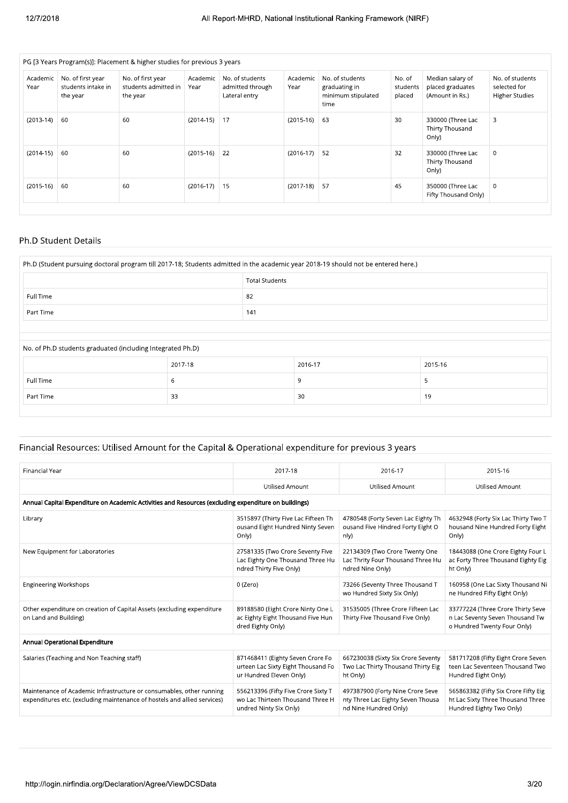|                  |                                                     | PG [3 Years Program(s)]: Placement & higher studies for previous 3 years |                  |                                                      |                  |                                                                |                              |                                                         |                                                          |
|------------------|-----------------------------------------------------|--------------------------------------------------------------------------|------------------|------------------------------------------------------|------------------|----------------------------------------------------------------|------------------------------|---------------------------------------------------------|----------------------------------------------------------|
| Academic<br>Year | No. of first year<br>students intake in<br>the year | No. of first year<br>students admitted in<br>the year                    | Academic<br>Year | No. of students<br>admitted through<br>Lateral entry | Academic<br>Year | No. of students<br>graduating in<br>minimum stipulated<br>time | No. of<br>students<br>placed | Median salary of<br>placed graduates<br>(Amount in Rs.) | No. of students<br>selected for<br><b>Higher Studies</b> |
| $(2013-14)$      | 60                                                  | 60                                                                       | $(2014-15)$      | 17                                                   | $(2015-16)$      | 63                                                             | 30                           | 330000 (Three Lac<br>Thirty Thousand<br>Only)           | 3                                                        |
| $(2014-15)$      | 60                                                  | 60                                                                       | $(2015-16)$      | 22                                                   | $(2016-17)$      | 52                                                             | 32                           | 330000 (Three Lac<br>Thirty Thousand<br>Only)           | $\mathbf 0$                                              |
| $(2015-16)$      | 60                                                  | 60                                                                       | $(2016-17)$      | 15                                                   | $(2017-18)$      | 57                                                             | 45                           | 350000 (Three Lac<br>Fifty Thousand Only)               | 0                                                        |

#### Ph.D Student Details

|           |                                                            | <b>Total Students</b> |         |         |  |  |  |
|-----------|------------------------------------------------------------|-----------------------|---------|---------|--|--|--|
| Full Time |                                                            | 82                    |         |         |  |  |  |
| Part Time |                                                            | 141                   |         |         |  |  |  |
|           |                                                            |                       |         |         |  |  |  |
|           | No. of Ph.D students graduated (including Integrated Ph.D) |                       |         |         |  |  |  |
|           |                                                            |                       |         |         |  |  |  |
|           | 2017-18                                                    |                       | 2016-17 | 2015-16 |  |  |  |
| Full Time | 6                                                          |                       | 9       | 5       |  |  |  |

# Financial Resources: Utilised Amount for the Capital & Operational expenditure for previous 3 years

| <b>Financial Year</b>                                                                                                                            | 2017-18                                                                                           | 2016-17                                                                                        | 2015-16                                                                                               |  |  |  |  |
|--------------------------------------------------------------------------------------------------------------------------------------------------|---------------------------------------------------------------------------------------------------|------------------------------------------------------------------------------------------------|-------------------------------------------------------------------------------------------------------|--|--|--|--|
|                                                                                                                                                  | <b>Utilised Amount</b>                                                                            | <b>Utilised Amount</b>                                                                         | <b>Utilised Amount</b>                                                                                |  |  |  |  |
| Annual Capital Expenditure on Academic Activities and Resources (excluding expenditure on buildings)                                             |                                                                                                   |                                                                                                |                                                                                                       |  |  |  |  |
| Library                                                                                                                                          | 3515897 (Thirty Five Lac Fifteen Th<br>ousand Eight Hundred Ninty Seven<br>Only)                  | 4780548 (Forty Seven Lac Eighty Th<br>ousand Five Hindred Forty Eight O<br>nly)                | 4632948 (Forty Six Lac Thirty Two T<br>housand Nine Hundred Forty Eight<br>Only)                      |  |  |  |  |
| New Equipment for Laboratories                                                                                                                   | 27581335 (Two Crore Seventy Five<br>Lac Eighty One Thousand Three Hu<br>ndred Thirty Five Only)   | 22134309 (Two Crore Twenty One<br>Lac Thrity Four Thousand Three Hu<br>ndred Nine Only)        | 18443088 (One Crore Eighty Four L<br>ac Forty Three Thousand Eighty Eig<br>ht Only)                   |  |  |  |  |
| <b>Engineering Workshops</b>                                                                                                                     | 0 (Zero)                                                                                          | 73266 (Seventy Three Thousand T<br>wo Hundred Sixty Six Only)                                  | 160958 (One Lac Sixty Thousand Ni<br>ne Hundred Fifty Eight Only)                                     |  |  |  |  |
| Other expenditure on creation of Capital Assets (excluding expenditure<br>on Land and Building)                                                  | 89188580 (Eight Crore Ninty One L<br>ac Eighty Eight Thousand Five Hun<br>dred Eighty Only)       | 31535005 (Three Crore Fifteen Lac<br>Thirty Five Thousand Five Only)                           | 33777224 (Three Crore Thirty Seve<br>n Lac Seventy Seven Thousand Tw<br>o Hundred Twenty Four Only)   |  |  |  |  |
| Annual Operational Expenditure                                                                                                                   |                                                                                                   |                                                                                                |                                                                                                       |  |  |  |  |
| Salaries (Teaching and Non Teaching staff)                                                                                                       | 871468411 (Eighty Seven Crore Fo<br>urteen Lac Sixty Eight Thousand Fo<br>ur Hundred Eleven Only) | 667230038 (Sixty Six Crore Seventy<br>Two Lac Thirty Thousand Thirty Eig<br>ht Only)           | 581717208 (Fifty Eight Crore Seven<br>teen Lac Seventeen Thousand Two<br>Hundred Eight Only)          |  |  |  |  |
| Maintenance of Academic Infrastructure or consumables, other running<br>expenditures etc. (excluding maintenance of hostels and allied services) | 556213396 (Fifty Five Crore Sixty T<br>wo Lac Thirteen Thousand Three H<br>undred Ninty Six Only) | 497387900 (Forty Nine Crore Seve<br>nty Three Lac Eighty Seven Thousa<br>nd Nine Hundred Only) | 565863382 (Fifty Six Crore Fifty Eig<br>ht Lac Sixty Three Thousand Three<br>Hundred Eighty Two Only) |  |  |  |  |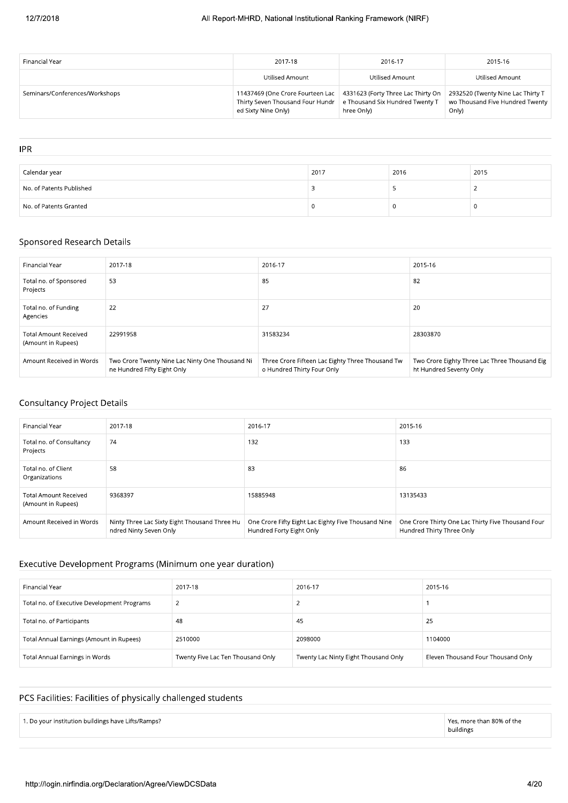| Financial Year                 | 2017-18                                                                                   | 2016-17                                                                               | 2015-16                                                                       |
|--------------------------------|-------------------------------------------------------------------------------------------|---------------------------------------------------------------------------------------|-------------------------------------------------------------------------------|
|                                | Utilised Amount                                                                           | Utilised Amount                                                                       | Utilised Amount                                                               |
| Seminars/Conferences/Workshops | Thirty Seven Thousand Four Hundr   e Thousand Six Hundred Twenty T<br>ed Sixty Nine Only) | 11437469 (One Crore Fourteen Lac   4331623 (Forty Three Lac Thirty On  <br>hree Only) | 2932520 (Twenty Nine Lac Thirty T<br>wo Thousand Five Hundred Twenty<br>Only) |

| <b>IPR</b>               |      |      |      |
|--------------------------|------|------|------|
|                          |      |      |      |
| Calendar year            | 2017 | 2016 | 2015 |
| No. of Patents Published |      |      |      |
| No. of Patents Granted   |      |      |      |

## Sponsored Research Details

| Financial Year                                     | 2017-18                                                                        | 2016-17                                                                        | 2015-16                                                                  |
|----------------------------------------------------|--------------------------------------------------------------------------------|--------------------------------------------------------------------------------|--------------------------------------------------------------------------|
| Total no. of Sponsored<br>Projects                 | 53                                                                             | 85                                                                             | 82                                                                       |
| Total no. of Funding<br>Agencies                   | 22                                                                             | 27                                                                             | 20                                                                       |
| <b>Total Amount Received</b><br>(Amount in Rupees) | 22991958                                                                       | 31583234                                                                       | 28303870                                                                 |
| Amount Received in Words                           | Two Crore Twenty Nine Lac Ninty One Thousand Ni<br>ne Hundred Fifty Eight Only | Three Crore Fifteen Lac Eighty Three Thousand Tw<br>o Hundred Thirty Four Only | Two Crore Eighty Three Lac Three Thousand Eig<br>ht Hundred Seventy Only |

# Consultancy Project Details

| Financial Year                                     | 2017-18                                                                 | 2016-17                                                                         | 2015-16                                                                         |
|----------------------------------------------------|-------------------------------------------------------------------------|---------------------------------------------------------------------------------|---------------------------------------------------------------------------------|
| Total no. of Consultancy<br>Projects               | 74                                                                      | 132                                                                             | 133                                                                             |
| Total no. of Client<br>Organizations               | 58                                                                      | 83                                                                              | 86                                                                              |
| <b>Total Amount Received</b><br>(Amount in Rupees) | 9368397                                                                 | 15885948                                                                        | 13135433                                                                        |
| Amount Received in Words                           | Ninty Three Lac Sixty Eight Thousand Three Hu<br>ndred Ninty Seven Only | One Crore Fifty Eight Lac Eighty Five Thousand Nine<br>Hundred Forty Eight Only | One Crore Thirty One Lac Thirty Five Thousand Four<br>Hundred Thirty Three Only |

## Executive Development Programs (Minimum one year duration)

| Financial Year                              | 2017-18                           | 2016-17                              | 2015-16                            |
|---------------------------------------------|-----------------------------------|--------------------------------------|------------------------------------|
| Total no. of Executive Development Programs |                                   |                                      |                                    |
| Total no. of Participants                   | 48                                | 45                                   | 25                                 |
| Total Annual Earnings (Amount in Rupees)    | 2510000                           | 2098000                              | 1104000                            |
| Total Annual Earnings in Words              | Twenty Five Lac Ten Thousand Only | Twenty Lac Ninty Eight Thousand Only | Eleven Thousand Four Thousand Only |

## PCS Facilities: Facilities of physically challenged students

8. Do your institution buildings have Lifts/Ramps? example 32-2020 and 20% of the series of the series of the series and a series of the series of the series of the series and a series of the series of the series of the se

buildings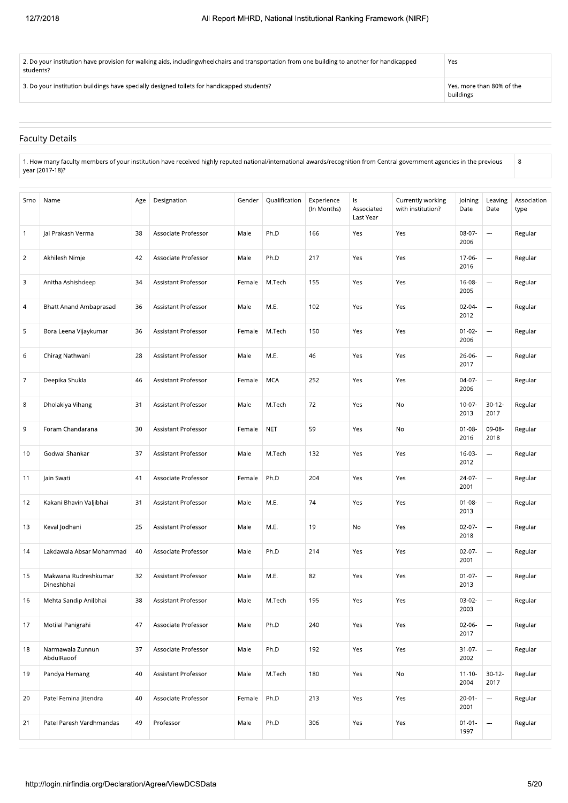| 3. Do your institution buildings have specially designed toilets for handicapped students?                                                                       | Yes, more than 80% of the |
|------------------------------------------------------------------------------------------------------------------------------------------------------------------|---------------------------|
| $\mid$ 2. Do your institution have provision for walking aids, includingwheelchairs and transportation from one building to another for handicapped<br>students? | Yes                       |

buildings

 $\overline{8}$ 

# **Faculty Details**

1. How many faculty members of your institution have received highly reputed national/international awards/recognition from Central government agencies in the previous<br>year (2017-18)?

| Srno           | Name                               | Age | Designation                | Gender | Qualification | Experience<br>(In Months) | ls<br>Associated<br>Last Year | Currently working<br>with institution? | Joining<br>Date     | Leaving<br>Date          | Association<br>type |
|----------------|------------------------------------|-----|----------------------------|--------|---------------|---------------------------|-------------------------------|----------------------------------------|---------------------|--------------------------|---------------------|
| $\mathbf{1}$   | Jai Prakash Verma                  | 38  | Associate Professor        | Male   | Ph.D          | 166                       | Yes                           | Yes                                    | 08-07-<br>2006      | $\cdots$                 | Regular             |
| $\overline{2}$ | Akhilesh Nimje                     | 42  | Associate Professor        | Male   | Ph.D          | 217                       | Yes                           | Yes                                    | 17-06-<br>2016      | $\overline{\phantom{a}}$ | Regular             |
| 3              | Anitha Ashishdeep                  | 34  | Assistant Professor        | Female | M.Tech        | 155                       | Yes                           | Yes                                    | $16-08-$<br>2005    | ---                      | Regular             |
| 4              | Bhatt Anand Ambaprasad             | 36  | Assistant Professor        | Male   | M.E.          | 102                       | Yes                           | Yes                                    | 02-04-<br>2012      |                          | Regular             |
| 5              | Bora Leena Vijaykumar              | 36  | Assistant Professor        | Female | M.Tech        | 150                       | Yes                           | Yes                                    | $01 - 02 -$<br>2006 | ---                      | Regular             |
| 6              | Chirag Nathwani                    | 28  | Assistant Professor        | Male   | M.E.          | 46                        | Yes                           | Yes                                    | 26-06-<br>2017      | $\overline{\phantom{a}}$ | Regular             |
| 7              | Deepika Shukla                     | 46  | Assistant Professor        | Female | <b>MCA</b>    | 252                       | Yes                           | Yes                                    | 04-07-<br>2006      | ---                      | Regular             |
| 8              | Dholakiya Vihang                   | 31  | Assistant Professor        | Male   | M.Tech        | 72                        | Yes                           | No                                     | $10-07 -$<br>2013   | $30 - 12 -$<br>2017      | Regular             |
| 9              | Foram Chandarana                   | 30  | Assistant Professor        | Female | <b>NET</b>    | 59                        | Yes                           | No                                     | $01 - 08 -$<br>2016 | 09-08-<br>2018           | Regular             |
| 10             | Godwal Shankar                     | 37  | <b>Assistant Professor</b> | Male   | M.Tech        | 132                       | Yes                           | Yes                                    | $16-03-$<br>2012    | $\cdots$                 | Regular             |
| 11             | Jain Swati                         | 41  | Associate Professor        | Female | Ph.D          | 204                       | Yes                           | Yes                                    | 24-07-<br>2001      | ---                      | Regular             |
| 12             | Kakani Bhavin Valjibhai            | 31  | Assistant Professor        | Male   | M.E.          | 74                        | Yes                           | Yes                                    | $01 - 08 -$<br>2013 | ---                      | Regular             |
| 13             | Keval Jodhani                      | 25  | Assistant Professor        | Male   | M.E.          | 19                        | No                            | Yes                                    | $02-07-$<br>2018    | ---                      | Regular             |
| 14             | Lakdawala Absar Mohammad           | 40  | Associate Professor        | Male   | Ph.D          | 214                       | Yes                           | Yes                                    | $02-07-$<br>2001    | ---                      | Regular             |
| 15             | Makwana Rudreshkumar<br>Dineshbhai | 32  | Assistant Professor        | Male   | M.E.          | 82                        | Yes                           | Yes                                    | $01-07-$<br>2013    | $\overline{a}$           | Regular             |
| 16             | Mehta Sandip Anilbhai              | 38  | Assistant Professor        | Male   | M.Tech        | 195                       | Yes                           | Yes                                    | 03-02-<br>2003      | ---                      | Regular             |
| 17             | Motilal Panigrahi                  | 47  | Associate Professor        | Male   | Ph.D          | 240                       | Yes                           | Yes                                    | 02-06-<br>2017      | $\hspace{0.05cm} \ldots$ | Regular             |
| 18             | Narmawala Zunnun<br>AbdulRaoof     | 37  | Associate Professor        | Male   | Ph.D          | 192                       | Yes                           | Yes                                    | $31 - 07 -$<br>2002 | $\cdots$                 | Regular             |
| 19             | Pandya Hemang                      | 40  | Assistant Professor        | Male   | M.Tech        | 180                       | Yes                           | No                                     | $11 - 10 -$<br>2004 | $30 - 12 -$<br>2017      | Regular             |
| 20             | Patel Femina Jitendra              | 40  | Associate Professor        | Female | Ph.D          | 213                       | Yes                           | Yes                                    | $20 - 01 -$<br>2001 | ---                      | Regular             |
| 21             | Patel Paresh Vardhmandas           | 49  | Professor                  | Male   | Ph.D          | 306                       | Yes                           | Yes                                    | $01 - 01 -$<br>1997 | $\cdots$                 | Regular             |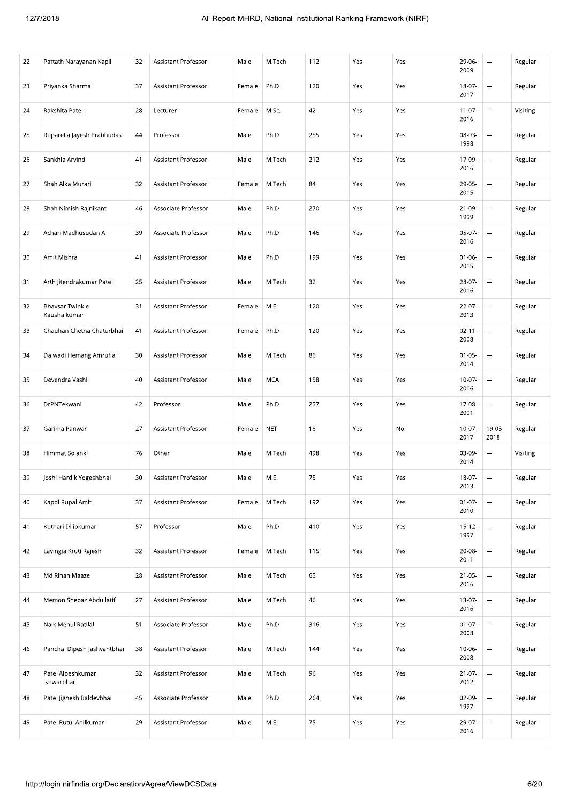| 22 | Pattath Narayanan Kapil                | 32 | Assistant Professor        | Male   | M.Tech     | 112 | Yes | Yes | 29-06-<br>2009      | $\cdots$                 | Regular  |
|----|----------------------------------------|----|----------------------------|--------|------------|-----|-----|-----|---------------------|--------------------------|----------|
| 23 | Priyanka Sharma                        | 37 | Assistant Professor        | Female | Ph.D       | 120 | Yes | Yes | $18-07-$<br>2017    |                          | Regular  |
| 24 | Rakshita Patel                         | 28 | Lecturer                   | Female | M.Sc.      | 42  | Yes | Yes | $11-07-$<br>2016    | $\overline{\phantom{a}}$ | Visiting |
| 25 | Ruparelia Jayesh Prabhudas             | 44 | Professor                  | Male   | Ph.D       | 255 | Yes | Yes | 08-03-<br>1998      |                          | Regular  |
| 26 | Sankhla Arvind                         | 41 | Assistant Professor        | Male   | M.Tech     | 212 | Yes | Yes | 17-09-<br>2016      |                          | Regular  |
| 27 | Shah Alka Murari                       | 32 | <b>Assistant Professor</b> | Female | M.Tech     | 84  | Yes | Yes | 29-05-<br>2015      |                          | Regular  |
| 28 | Shah Nimish Rajnikant                  | 46 | Associate Professor        | Male   | Ph.D       | 270 | Yes | Yes | 21-09-<br>1999      | $\overline{\phantom{a}}$ | Regular  |
| 29 | Achari Madhusudan A                    | 39 | Associate Professor        | Male   | Ph.D       | 146 | Yes | Yes | $05-07-$<br>2016    | $\overline{\phantom{a}}$ | Regular  |
| 30 | Amit Mishra                            | 41 | Assistant Professor        | Male   | Ph.D       | 199 | Yes | Yes | $01 - 06 -$<br>2015 | ---                      | Regular  |
| 31 | Arth Jitendrakumar Patel               | 25 | Assistant Professor        | Male   | M.Tech     | 32  | Yes | Yes | 28-07-<br>2016      | ---                      | Regular  |
| 32 | <b>Bhavsar Twinkle</b><br>Kaushalkumar | 31 | Assistant Professor        | Female | M.E.       | 120 | Yes | Yes | $22-07-$<br>2013    |                          | Regular  |
| 33 | Chauhan Chetna Chaturbhai              | 41 | Assistant Professor        | Female | Ph.D       | 120 | Yes | Yes | $02 - 11 -$<br>2008 |                          | Regular  |
| 34 | Dalwadi Hemang Amrutlal                | 30 | Assistant Professor        | Male   | M.Tech     | 86  | Yes | Yes | $01 - 05 -$<br>2014 |                          | Regular  |
| 35 | Devendra Vashi                         | 40 | Assistant Professor        | Male   | <b>MCA</b> | 158 | Yes | Yes | $10-07 -$<br>2006   | ---                      | Regular  |
| 36 | DrPNTekwani                            | 42 | Professor                  | Male   | Ph.D       | 257 | Yes | Yes | 17-08-<br>2001      |                          | Regular  |
| 37 | Garima Panwar                          | 27 | Assistant Professor        | Female | <b>NET</b> | 18  | Yes | No  | $10-07 -$<br>2017   | 19-05-<br>2018           | Regular  |
| 38 | Himmat Solanki                         | 76 | Other                      | Male   | M.Tech     | 498 | Yes | Yes | 03-09-<br>2014      | ---                      | Visiting |
| 39 | Joshi Hardik Yogeshbhai                | 30 | Assistant Professor        | Male   | M.E.       | 75  | Yes | Yes | 18-07-<br>2013      | $\sim$                   | Regular  |
| 40 | Kapdi Rupal Amit                       | 37 | Assistant Professor        | Female | M.Tech     | 192 | Yes | Yes | $01 - 07 -$<br>2010 | $\overline{\phantom{a}}$ | Regular  |
| 41 | Kothari Dilipkumar                     | 57 | Professor                  | Male   | Ph.D       | 410 | Yes | Yes | $15 - 12 -$<br>1997 | ---                      | Regular  |
| 42 | Lavingia Kruti Rajesh                  | 32 | Assistant Professor        | Female | M.Tech     | 115 | Yes | Yes | 20-08-<br>2011      | $\overline{\phantom{a}}$ | Regular  |
| 43 | Md Rihan Maaze                         | 28 | <b>Assistant Professor</b> | Male   | M.Tech     | 65  | Yes | Yes | $21-05-$<br>2016    |                          | Regular  |
| 44 | Memon Shebaz Abdullatif                | 27 | Assistant Professor        | Male   | M.Tech     | 46  | Yes | Yes | 13-07-<br>2016      |                          | Regular  |
| 45 | Naik Mehul Ratilal                     | 51 | Associate Professor        | Male   | Ph.D       | 316 | Yes | Yes | $01-07-$<br>2008    |                          | Regular  |
| 46 | Panchal Dipesh Jashvantbhai            | 38 | Assistant Professor        | Male   | M.Tech     | 144 | Yes | Yes | $10-06-$<br>2008    | $\overline{\phantom{a}}$ | Regular  |
| 47 | Patel Alpeshkumar<br>Ishwarbhai        | 32 | Assistant Professor        | Male   | M.Tech     | 96  | Yes | Yes | $21 - 07 -$<br>2012 | $\overline{\phantom{a}}$ | Regular  |
| 48 | Patel Jignesh Baldevbhai               | 45 | Associate Professor        | Male   | Ph.D       | 264 | Yes | Yes | 02-09-<br>1997      |                          | Regular  |
| 49 | Patel Rutul Anilkumar                  | 29 | Assistant Professor        | Male   | M.E.       | 75  | Yes | Yes | 29-07-<br>2016      | $\overline{a}$           | Regular  |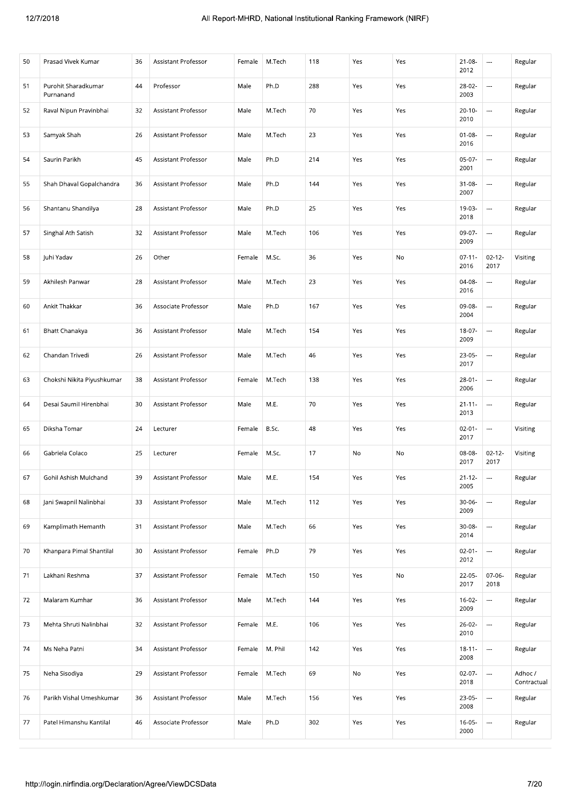| 44<br>Male<br>Ph.D<br>288<br>Yes<br>Yes<br>28-02-<br><br>51<br>Purohit Sharadkumar<br>Professor<br>Regular<br>2003<br>Purnanand<br>70<br>52<br>Raval Nipun Pravinbhai<br>32<br>Assistant Professor<br>Male<br>M.Tech<br>Yes<br>Yes<br>$20 - 10 -$<br>Regular<br>$\overline{\phantom{a}}$<br>2010<br>26<br>Male<br>M.Tech<br>23<br>Yes<br>53<br>Samyak Shah<br>Assistant Professor<br>Yes<br>$01 - 08 -$<br>---<br>Regular<br>2016<br>Ph.D<br>214<br>$05-07-$<br>Saurin Parikh<br>45<br>Assistant Professor<br>Male<br>Yes<br>Yes<br><br>54<br>Regular<br>2001<br>144<br>Shah Dhaval Gopalchandra<br>Male<br>Ph.D<br>Yes<br>$31 - 08 -$<br><br>36<br>Assistant Professor<br>Yes<br>Regular<br>55<br>2007<br>28<br>Ph.D<br>25<br>Shantanu Shandilya<br>Assistant Professor<br>Male<br>Yes<br>Yes<br>19-03-<br>---<br>Regular<br>56<br>2018<br>32<br>M.Tech<br>106<br>Yes<br>09-07-<br>---<br>Regular<br>57<br>Singhal Ath Satish<br>Assistant Professor<br>Male<br>Yes<br>2009<br>$02 - 12 -$<br>Juhi Yadav<br>26<br>Other<br>Female<br>M.Sc.<br>36<br>Yes<br>No<br>$07 - 11 -$<br>Visiting<br>58<br>2016<br>2017<br>Akhilesh Panwar<br>28<br>Assistant Professor<br>Male<br>M.Tech<br>23<br>Yes<br>Yes<br>04-08-<br>59<br>Regular<br>$\hspace{0.05cm}\ldots$<br>2016<br>Ankit Thakkar<br>Ph.D<br>167<br>Yes<br>60<br>36<br>Associate Professor<br>Male<br>Yes<br>09-08-<br><br>Regular<br>2004<br>36<br>Assistant Professor<br>Male<br>M.Tech<br>154<br>Yes<br>Yes<br>18-07-<br>$\overline{\phantom{a}}$<br>61<br><b>Bhatt Chanakya</b><br>Regular<br>2009<br>Chandan Trivedi<br>Assistant Professor<br>Male<br>M.Tech<br>46<br>Yes<br>Yes<br>$23-05-$<br>$\cdots$<br>26<br>Regular<br>62<br>2017<br>138<br>Chokshi Nikita Piyushkumar<br>38<br>Assistant Professor<br>M.Tech<br>Yes<br>Yes<br>$28 - 01 -$<br>63<br>Female<br>$\overline{\phantom{a}}$<br>Regular<br>2006<br>30<br>Male<br>M.E.<br>70<br>Desai Saumil Hirenbhai<br>Assistant Professor<br>Yes<br>Yes<br>$21 - 11 -$<br>$\cdots$<br>Regular<br>64<br>2013<br>24<br>48<br>$\overline{\phantom{a}}$<br>Diksha Tomar<br>B.Sc.<br>Yes<br>Yes<br>$02 - 01 -$<br>Visiting<br>65<br>Lecturer<br>Female<br>2017<br>M.Sc.<br>17<br>08-08-<br>$02 - 12 -$<br>66<br>Gabriela Colaco<br>25<br>Female<br>No<br>No<br>Visiting<br>Lecturer<br>2017<br>2017<br>67<br>Gohil Ashish Mulchand<br>39<br>Assistant Professor<br>Male<br>M.E.<br>154<br>Yes<br>Yes<br>$21 - 12 -$<br>Regular<br>$\overline{\phantom{a}}$<br>2005<br>Jani Swapnil Nalinbhai<br>33<br>Assistant Professor<br>Male<br>M.Tech<br>112<br>Yes<br>Yes<br>$30-06-$<br>$\overline{\phantom{a}}$<br>Regular<br>68<br>2009<br>$\ddotsc$<br>Assistant Professor<br>M.Tech<br>66<br>Yes<br>30-08-<br>69<br>Kamplimath Hemanth<br>31<br>Male<br>Yes<br>Regular<br>2014<br>Ph.D<br>79<br>Khanpara Pimal Shantilal<br>30<br>Assistant Professor<br>Yes<br>Yes<br>$02 - 01 -$<br>$\cdots$<br>Regular<br>70<br>Female<br>2012<br>Lakhani Reshma<br>37<br>Assistant Professor<br>M.Tech<br>150<br>Yes<br>No<br>22-05-<br>$07 - 06 -$<br>Regular<br>71<br>Female<br>2017<br>2018<br>144<br>Yes<br>$16-02-$<br>Malaram Kumhar<br>36<br>Assistant Professor<br>Male<br>M.Tech<br>Yes<br>---<br>72<br>Regular<br>2009<br>$\overline{\phantom{a}}$<br>M.E.<br>106<br>Yes<br>Yes<br>$26-02-$<br>Mehta Shruti Nalinbhai<br>32<br>Assistant Professor<br>Female<br>Regular<br>73<br>2010<br>34<br>Ms Neha Patni<br>Assistant Professor<br>M. Phil<br>142<br>Yes<br>Yes<br>$18 - 11 -$<br>$\cdots$<br>Regular<br>74<br>Female<br>2008<br>69<br>29<br>M.Tech<br>No<br>$02-07-$<br><br>Adhoc/<br>75<br>Neha Sisodiya<br>Assistant Professor<br>Female<br>Yes<br>2018 | 50 | Prasad Vivek Kumar       | 36 | Assistant Professor | Female | M.Tech | 118 | Yes | Yes | $21 - 08 -$<br>2012 | $\cdots$ | Regular     |
|-----------------------------------------------------------------------------------------------------------------------------------------------------------------------------------------------------------------------------------------------------------------------------------------------------------------------------------------------------------------------------------------------------------------------------------------------------------------------------------------------------------------------------------------------------------------------------------------------------------------------------------------------------------------------------------------------------------------------------------------------------------------------------------------------------------------------------------------------------------------------------------------------------------------------------------------------------------------------------------------------------------------------------------------------------------------------------------------------------------------------------------------------------------------------------------------------------------------------------------------------------------------------------------------------------------------------------------------------------------------------------------------------------------------------------------------------------------------------------------------------------------------------------------------------------------------------------------------------------------------------------------------------------------------------------------------------------------------------------------------------------------------------------------------------------------------------------------------------------------------------------------------------------------------------------------------------------------------------------------------------------------------------------------------------------------------------------------------------------------------------------------------------------------------------------------------------------------------------------------------------------------------------------------------------------------------------------------------------------------------------------------------------------------------------------------------------------------------------------------------------------------------------------------------------------------------------------------------------------------------------------------------------------------------------------------------------------------------------------------------------------------------------------------------------------------------------------------------------------------------------------------------------------------------------------------------------------------------------------------------------------------------------------------------------------------------------------------------------------------------------------------------------------------------------------------------------------------------------------------------------------------------------------------------------------------------------------------------------------------------------------------------------------------------------------------------------------------------------------------------------------------------------------------------------------------------------------------------------------------------------------------------------------------------|----|--------------------------|----|---------------------|--------|--------|-----|-----|-----|---------------------|----------|-------------|
|                                                                                                                                                                                                                                                                                                                                                                                                                                                                                                                                                                                                                                                                                                                                                                                                                                                                                                                                                                                                                                                                                                                                                                                                                                                                                                                                                                                                                                                                                                                                                                                                                                                                                                                                                                                                                                                                                                                                                                                                                                                                                                                                                                                                                                                                                                                                                                                                                                                                                                                                                                                                                                                                                                                                                                                                                                                                                                                                                                                                                                                                                                                                                                                                                                                                                                                                                                                                                                                                                                                                                                                                                                                                 |    |                          |    |                     |        |        |     |     |     |                     |          |             |
|                                                                                                                                                                                                                                                                                                                                                                                                                                                                                                                                                                                                                                                                                                                                                                                                                                                                                                                                                                                                                                                                                                                                                                                                                                                                                                                                                                                                                                                                                                                                                                                                                                                                                                                                                                                                                                                                                                                                                                                                                                                                                                                                                                                                                                                                                                                                                                                                                                                                                                                                                                                                                                                                                                                                                                                                                                                                                                                                                                                                                                                                                                                                                                                                                                                                                                                                                                                                                                                                                                                                                                                                                                                                 |    |                          |    |                     |        |        |     |     |     |                     |          |             |
|                                                                                                                                                                                                                                                                                                                                                                                                                                                                                                                                                                                                                                                                                                                                                                                                                                                                                                                                                                                                                                                                                                                                                                                                                                                                                                                                                                                                                                                                                                                                                                                                                                                                                                                                                                                                                                                                                                                                                                                                                                                                                                                                                                                                                                                                                                                                                                                                                                                                                                                                                                                                                                                                                                                                                                                                                                                                                                                                                                                                                                                                                                                                                                                                                                                                                                                                                                                                                                                                                                                                                                                                                                                                 |    |                          |    |                     |        |        |     |     |     |                     |          |             |
|                                                                                                                                                                                                                                                                                                                                                                                                                                                                                                                                                                                                                                                                                                                                                                                                                                                                                                                                                                                                                                                                                                                                                                                                                                                                                                                                                                                                                                                                                                                                                                                                                                                                                                                                                                                                                                                                                                                                                                                                                                                                                                                                                                                                                                                                                                                                                                                                                                                                                                                                                                                                                                                                                                                                                                                                                                                                                                                                                                                                                                                                                                                                                                                                                                                                                                                                                                                                                                                                                                                                                                                                                                                                 |    |                          |    |                     |        |        |     |     |     |                     |          |             |
|                                                                                                                                                                                                                                                                                                                                                                                                                                                                                                                                                                                                                                                                                                                                                                                                                                                                                                                                                                                                                                                                                                                                                                                                                                                                                                                                                                                                                                                                                                                                                                                                                                                                                                                                                                                                                                                                                                                                                                                                                                                                                                                                                                                                                                                                                                                                                                                                                                                                                                                                                                                                                                                                                                                                                                                                                                                                                                                                                                                                                                                                                                                                                                                                                                                                                                                                                                                                                                                                                                                                                                                                                                                                 |    |                          |    |                     |        |        |     |     |     |                     |          |             |
|                                                                                                                                                                                                                                                                                                                                                                                                                                                                                                                                                                                                                                                                                                                                                                                                                                                                                                                                                                                                                                                                                                                                                                                                                                                                                                                                                                                                                                                                                                                                                                                                                                                                                                                                                                                                                                                                                                                                                                                                                                                                                                                                                                                                                                                                                                                                                                                                                                                                                                                                                                                                                                                                                                                                                                                                                                                                                                                                                                                                                                                                                                                                                                                                                                                                                                                                                                                                                                                                                                                                                                                                                                                                 |    |                          |    |                     |        |        |     |     |     |                     |          |             |
|                                                                                                                                                                                                                                                                                                                                                                                                                                                                                                                                                                                                                                                                                                                                                                                                                                                                                                                                                                                                                                                                                                                                                                                                                                                                                                                                                                                                                                                                                                                                                                                                                                                                                                                                                                                                                                                                                                                                                                                                                                                                                                                                                                                                                                                                                                                                                                                                                                                                                                                                                                                                                                                                                                                                                                                                                                                                                                                                                                                                                                                                                                                                                                                                                                                                                                                                                                                                                                                                                                                                                                                                                                                                 |    |                          |    |                     |        |        |     |     |     |                     |          |             |
|                                                                                                                                                                                                                                                                                                                                                                                                                                                                                                                                                                                                                                                                                                                                                                                                                                                                                                                                                                                                                                                                                                                                                                                                                                                                                                                                                                                                                                                                                                                                                                                                                                                                                                                                                                                                                                                                                                                                                                                                                                                                                                                                                                                                                                                                                                                                                                                                                                                                                                                                                                                                                                                                                                                                                                                                                                                                                                                                                                                                                                                                                                                                                                                                                                                                                                                                                                                                                                                                                                                                                                                                                                                                 |    |                          |    |                     |        |        |     |     |     |                     |          |             |
|                                                                                                                                                                                                                                                                                                                                                                                                                                                                                                                                                                                                                                                                                                                                                                                                                                                                                                                                                                                                                                                                                                                                                                                                                                                                                                                                                                                                                                                                                                                                                                                                                                                                                                                                                                                                                                                                                                                                                                                                                                                                                                                                                                                                                                                                                                                                                                                                                                                                                                                                                                                                                                                                                                                                                                                                                                                                                                                                                                                                                                                                                                                                                                                                                                                                                                                                                                                                                                                                                                                                                                                                                                                                 |    |                          |    |                     |        |        |     |     |     |                     |          |             |
|                                                                                                                                                                                                                                                                                                                                                                                                                                                                                                                                                                                                                                                                                                                                                                                                                                                                                                                                                                                                                                                                                                                                                                                                                                                                                                                                                                                                                                                                                                                                                                                                                                                                                                                                                                                                                                                                                                                                                                                                                                                                                                                                                                                                                                                                                                                                                                                                                                                                                                                                                                                                                                                                                                                                                                                                                                                                                                                                                                                                                                                                                                                                                                                                                                                                                                                                                                                                                                                                                                                                                                                                                                                                 |    |                          |    |                     |        |        |     |     |     |                     |          |             |
|                                                                                                                                                                                                                                                                                                                                                                                                                                                                                                                                                                                                                                                                                                                                                                                                                                                                                                                                                                                                                                                                                                                                                                                                                                                                                                                                                                                                                                                                                                                                                                                                                                                                                                                                                                                                                                                                                                                                                                                                                                                                                                                                                                                                                                                                                                                                                                                                                                                                                                                                                                                                                                                                                                                                                                                                                                                                                                                                                                                                                                                                                                                                                                                                                                                                                                                                                                                                                                                                                                                                                                                                                                                                 |    |                          |    |                     |        |        |     |     |     |                     |          |             |
|                                                                                                                                                                                                                                                                                                                                                                                                                                                                                                                                                                                                                                                                                                                                                                                                                                                                                                                                                                                                                                                                                                                                                                                                                                                                                                                                                                                                                                                                                                                                                                                                                                                                                                                                                                                                                                                                                                                                                                                                                                                                                                                                                                                                                                                                                                                                                                                                                                                                                                                                                                                                                                                                                                                                                                                                                                                                                                                                                                                                                                                                                                                                                                                                                                                                                                                                                                                                                                                                                                                                                                                                                                                                 |    |                          |    |                     |        |        |     |     |     |                     |          |             |
|                                                                                                                                                                                                                                                                                                                                                                                                                                                                                                                                                                                                                                                                                                                                                                                                                                                                                                                                                                                                                                                                                                                                                                                                                                                                                                                                                                                                                                                                                                                                                                                                                                                                                                                                                                                                                                                                                                                                                                                                                                                                                                                                                                                                                                                                                                                                                                                                                                                                                                                                                                                                                                                                                                                                                                                                                                                                                                                                                                                                                                                                                                                                                                                                                                                                                                                                                                                                                                                                                                                                                                                                                                                                 |    |                          |    |                     |        |        |     |     |     |                     |          |             |
|                                                                                                                                                                                                                                                                                                                                                                                                                                                                                                                                                                                                                                                                                                                                                                                                                                                                                                                                                                                                                                                                                                                                                                                                                                                                                                                                                                                                                                                                                                                                                                                                                                                                                                                                                                                                                                                                                                                                                                                                                                                                                                                                                                                                                                                                                                                                                                                                                                                                                                                                                                                                                                                                                                                                                                                                                                                                                                                                                                                                                                                                                                                                                                                                                                                                                                                                                                                                                                                                                                                                                                                                                                                                 |    |                          |    |                     |        |        |     |     |     |                     |          |             |
|                                                                                                                                                                                                                                                                                                                                                                                                                                                                                                                                                                                                                                                                                                                                                                                                                                                                                                                                                                                                                                                                                                                                                                                                                                                                                                                                                                                                                                                                                                                                                                                                                                                                                                                                                                                                                                                                                                                                                                                                                                                                                                                                                                                                                                                                                                                                                                                                                                                                                                                                                                                                                                                                                                                                                                                                                                                                                                                                                                                                                                                                                                                                                                                                                                                                                                                                                                                                                                                                                                                                                                                                                                                                 |    |                          |    |                     |        |        |     |     |     |                     |          |             |
|                                                                                                                                                                                                                                                                                                                                                                                                                                                                                                                                                                                                                                                                                                                                                                                                                                                                                                                                                                                                                                                                                                                                                                                                                                                                                                                                                                                                                                                                                                                                                                                                                                                                                                                                                                                                                                                                                                                                                                                                                                                                                                                                                                                                                                                                                                                                                                                                                                                                                                                                                                                                                                                                                                                                                                                                                                                                                                                                                                                                                                                                                                                                                                                                                                                                                                                                                                                                                                                                                                                                                                                                                                                                 |    |                          |    |                     |        |        |     |     |     |                     |          |             |
|                                                                                                                                                                                                                                                                                                                                                                                                                                                                                                                                                                                                                                                                                                                                                                                                                                                                                                                                                                                                                                                                                                                                                                                                                                                                                                                                                                                                                                                                                                                                                                                                                                                                                                                                                                                                                                                                                                                                                                                                                                                                                                                                                                                                                                                                                                                                                                                                                                                                                                                                                                                                                                                                                                                                                                                                                                                                                                                                                                                                                                                                                                                                                                                                                                                                                                                                                                                                                                                                                                                                                                                                                                                                 |    |                          |    |                     |        |        |     |     |     |                     |          |             |
|                                                                                                                                                                                                                                                                                                                                                                                                                                                                                                                                                                                                                                                                                                                                                                                                                                                                                                                                                                                                                                                                                                                                                                                                                                                                                                                                                                                                                                                                                                                                                                                                                                                                                                                                                                                                                                                                                                                                                                                                                                                                                                                                                                                                                                                                                                                                                                                                                                                                                                                                                                                                                                                                                                                                                                                                                                                                                                                                                                                                                                                                                                                                                                                                                                                                                                                                                                                                                                                                                                                                                                                                                                                                 |    |                          |    |                     |        |        |     |     |     |                     |          |             |
|                                                                                                                                                                                                                                                                                                                                                                                                                                                                                                                                                                                                                                                                                                                                                                                                                                                                                                                                                                                                                                                                                                                                                                                                                                                                                                                                                                                                                                                                                                                                                                                                                                                                                                                                                                                                                                                                                                                                                                                                                                                                                                                                                                                                                                                                                                                                                                                                                                                                                                                                                                                                                                                                                                                                                                                                                                                                                                                                                                                                                                                                                                                                                                                                                                                                                                                                                                                                                                                                                                                                                                                                                                                                 |    |                          |    |                     |        |        |     |     |     |                     |          |             |
|                                                                                                                                                                                                                                                                                                                                                                                                                                                                                                                                                                                                                                                                                                                                                                                                                                                                                                                                                                                                                                                                                                                                                                                                                                                                                                                                                                                                                                                                                                                                                                                                                                                                                                                                                                                                                                                                                                                                                                                                                                                                                                                                                                                                                                                                                                                                                                                                                                                                                                                                                                                                                                                                                                                                                                                                                                                                                                                                                                                                                                                                                                                                                                                                                                                                                                                                                                                                                                                                                                                                                                                                                                                                 |    |                          |    |                     |        |        |     |     |     |                     |          |             |
|                                                                                                                                                                                                                                                                                                                                                                                                                                                                                                                                                                                                                                                                                                                                                                                                                                                                                                                                                                                                                                                                                                                                                                                                                                                                                                                                                                                                                                                                                                                                                                                                                                                                                                                                                                                                                                                                                                                                                                                                                                                                                                                                                                                                                                                                                                                                                                                                                                                                                                                                                                                                                                                                                                                                                                                                                                                                                                                                                                                                                                                                                                                                                                                                                                                                                                                                                                                                                                                                                                                                                                                                                                                                 |    |                          |    |                     |        |        |     |     |     |                     |          |             |
|                                                                                                                                                                                                                                                                                                                                                                                                                                                                                                                                                                                                                                                                                                                                                                                                                                                                                                                                                                                                                                                                                                                                                                                                                                                                                                                                                                                                                                                                                                                                                                                                                                                                                                                                                                                                                                                                                                                                                                                                                                                                                                                                                                                                                                                                                                                                                                                                                                                                                                                                                                                                                                                                                                                                                                                                                                                                                                                                                                                                                                                                                                                                                                                                                                                                                                                                                                                                                                                                                                                                                                                                                                                                 |    |                          |    |                     |        |        |     |     |     |                     |          |             |
|                                                                                                                                                                                                                                                                                                                                                                                                                                                                                                                                                                                                                                                                                                                                                                                                                                                                                                                                                                                                                                                                                                                                                                                                                                                                                                                                                                                                                                                                                                                                                                                                                                                                                                                                                                                                                                                                                                                                                                                                                                                                                                                                                                                                                                                                                                                                                                                                                                                                                                                                                                                                                                                                                                                                                                                                                                                                                                                                                                                                                                                                                                                                                                                                                                                                                                                                                                                                                                                                                                                                                                                                                                                                 |    |                          |    |                     |        |        |     |     |     |                     |          |             |
|                                                                                                                                                                                                                                                                                                                                                                                                                                                                                                                                                                                                                                                                                                                                                                                                                                                                                                                                                                                                                                                                                                                                                                                                                                                                                                                                                                                                                                                                                                                                                                                                                                                                                                                                                                                                                                                                                                                                                                                                                                                                                                                                                                                                                                                                                                                                                                                                                                                                                                                                                                                                                                                                                                                                                                                                                                                                                                                                                                                                                                                                                                                                                                                                                                                                                                                                                                                                                                                                                                                                                                                                                                                                 |    |                          |    |                     |        |        |     |     |     |                     |          |             |
|                                                                                                                                                                                                                                                                                                                                                                                                                                                                                                                                                                                                                                                                                                                                                                                                                                                                                                                                                                                                                                                                                                                                                                                                                                                                                                                                                                                                                                                                                                                                                                                                                                                                                                                                                                                                                                                                                                                                                                                                                                                                                                                                                                                                                                                                                                                                                                                                                                                                                                                                                                                                                                                                                                                                                                                                                                                                                                                                                                                                                                                                                                                                                                                                                                                                                                                                                                                                                                                                                                                                                                                                                                                                 |    |                          |    |                     |        |        |     |     |     |                     |          | Contractual |
| 2008                                                                                                                                                                                                                                                                                                                                                                                                                                                                                                                                                                                                                                                                                                                                                                                                                                                                                                                                                                                                                                                                                                                                                                                                                                                                                                                                                                                                                                                                                                                                                                                                                                                                                                                                                                                                                                                                                                                                                                                                                                                                                                                                                                                                                                                                                                                                                                                                                                                                                                                                                                                                                                                                                                                                                                                                                                                                                                                                                                                                                                                                                                                                                                                                                                                                                                                                                                                                                                                                                                                                                                                                                                                            | 76 | Parikh Vishal Umeshkumar | 36 | Assistant Professor | Male   | M.Tech | 156 | Yes | Yes | 23-05-              | ---      | Regular     |
| Patel Himanshu Kantilal<br>46<br>Associate Professor<br>Male<br>Ph.D<br>302<br>Yes<br>Yes<br>$16-05-$<br>77<br><br>Regular<br>2000                                                                                                                                                                                                                                                                                                                                                                                                                                                                                                                                                                                                                                                                                                                                                                                                                                                                                                                                                                                                                                                                                                                                                                                                                                                                                                                                                                                                                                                                                                                                                                                                                                                                                                                                                                                                                                                                                                                                                                                                                                                                                                                                                                                                                                                                                                                                                                                                                                                                                                                                                                                                                                                                                                                                                                                                                                                                                                                                                                                                                                                                                                                                                                                                                                                                                                                                                                                                                                                                                                                              |    |                          |    |                     |        |        |     |     |     |                     |          |             |
| 7/20<br>http://login.nirfindia.org/Declaration/Agree/ViewDCSData                                                                                                                                                                                                                                                                                                                                                                                                                                                                                                                                                                                                                                                                                                                                                                                                                                                                                                                                                                                                                                                                                                                                                                                                                                                                                                                                                                                                                                                                                                                                                                                                                                                                                                                                                                                                                                                                                                                                                                                                                                                                                                                                                                                                                                                                                                                                                                                                                                                                                                                                                                                                                                                                                                                                                                                                                                                                                                                                                                                                                                                                                                                                                                                                                                                                                                                                                                                                                                                                                                                                                                                                |    |                          |    |                     |        |        |     |     |     |                     |          |             |
|                                                                                                                                                                                                                                                                                                                                                                                                                                                                                                                                                                                                                                                                                                                                                                                                                                                                                                                                                                                                                                                                                                                                                                                                                                                                                                                                                                                                                                                                                                                                                                                                                                                                                                                                                                                                                                                                                                                                                                                                                                                                                                                                                                                                                                                                                                                                                                                                                                                                                                                                                                                                                                                                                                                                                                                                                                                                                                                                                                                                                                                                                                                                                                                                                                                                                                                                                                                                                                                                                                                                                                                                                                                                 |    |                          |    |                     |        |        |     |     |     |                     |          |             |
|                                                                                                                                                                                                                                                                                                                                                                                                                                                                                                                                                                                                                                                                                                                                                                                                                                                                                                                                                                                                                                                                                                                                                                                                                                                                                                                                                                                                                                                                                                                                                                                                                                                                                                                                                                                                                                                                                                                                                                                                                                                                                                                                                                                                                                                                                                                                                                                                                                                                                                                                                                                                                                                                                                                                                                                                                                                                                                                                                                                                                                                                                                                                                                                                                                                                                                                                                                                                                                                                                                                                                                                                                                                                 |    |                          |    |                     |        |        |     |     |     |                     |          |             |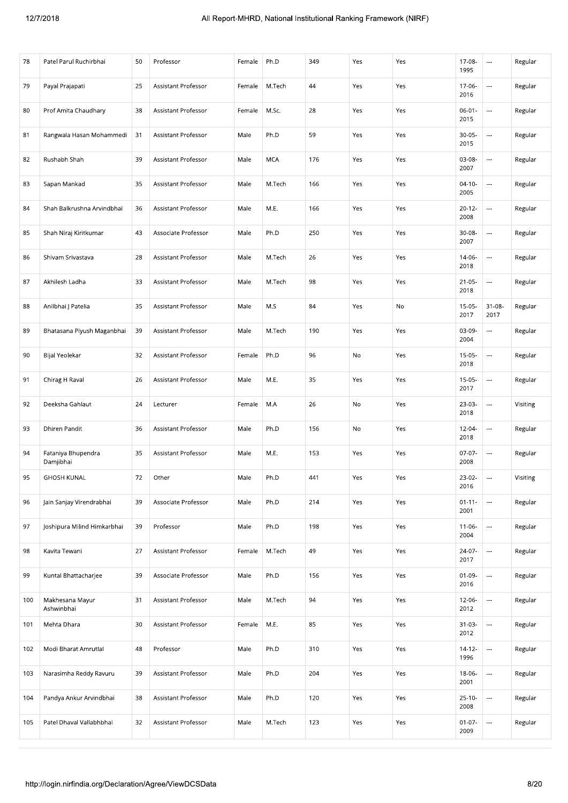| 78  | Patel Parul Ruchirbhai          | 50 | Professor           | Female | Ph.D       | 349 | Yes | Yes | 17-08-<br>1995      | $\hspace{0.05cm} \ldots$ | Regular  |
|-----|---------------------------------|----|---------------------|--------|------------|-----|-----|-----|---------------------|--------------------------|----------|
| 79  | Payal Prajapati                 | 25 | Assistant Professor | Female | M.Tech     | 44  | Yes | Yes | 17-06-<br>2016      | ---                      | Regular  |
| 80  | Prof Amita Chaudhary            | 38 | Assistant Professor | Female | M.Sc.      | 28  | Yes | Yes | $06 - 01 -$<br>2015 | $\overline{\phantom{a}}$ | Regular  |
| 81  | Rangwala Hasan Mohammedi        | 31 | Assistant Professor | Male   | Ph.D       | 59  | Yes | Yes | $30 - 05 -$<br>2015 |                          | Regular  |
| 82  | Rushabh Shah                    | 39 | Assistant Professor | Male   | <b>MCA</b> | 176 | Yes | Yes | 03-08-<br>2007      | ---                      | Regular  |
| 83  | Sapan Mankad                    | 35 | Assistant Professor | Male   | M.Tech     | 166 | Yes | Yes | $04-10-$<br>2005    | $\ldots$                 | Regular  |
| 84  | Shah Balkrushna Arvindbhai      | 36 | Assistant Professor | Male   | M.E.       | 166 | Yes | Yes | $20 - 12 -$<br>2008 | ---                      | Regular  |
| 85  | Shah Niraj Kiritkumar           | 43 | Associate Professor | Male   | Ph.D       | 250 | Yes | Yes | 30-08-<br>2007      |                          | Regular  |
| 86  | Shivam Srivastava               | 28 | Assistant Professor | Male   | M.Tech     | 26  | Yes | Yes | 14-06-<br>2018      |                          | Regular  |
| 87  | Akhilesh Ladha                  | 33 | Assistant Professor | Male   | M.Tech     | 98  | Yes | Yes | $21 - 05 -$<br>2018 | $\overline{\phantom{a}}$ | Regular  |
| 88  | Anilbhai J Patelia              | 35 | Assistant Professor | Male   | M.S        | 84  | Yes | No  | $15-05-$<br>2017    | $31 - 08 -$<br>2017      | Regular  |
| 89  | Bhatasana Piyush Maganbhai      | 39 | Assistant Professor | Male   | M.Tech     | 190 | Yes | Yes | 03-09-<br>2004      | $\overline{a}$           | Regular  |
| 90  | Bijal Yeolekar                  | 32 | Assistant Professor | Female | Ph.D       | 96  | No  | Yes | $15-05-$<br>2018    | $\overline{\phantom{a}}$ | Regular  |
| 91  | Chirag H Raval                  | 26 | Assistant Professor | Male   | M.E.       | 35  | Yes | Yes | $15-05-$<br>2017    |                          | Regular  |
| 92  | Deeksha Gahlaut                 | 24 | Lecturer            | Female | M.A        | 26  | No  | Yes | 23-03-<br>2018      | $\overline{\phantom{a}}$ | Visiting |
| 93  | <b>Dhiren Pandit</b>            | 36 | Assistant Professor | Male   | Ph.D       | 156 | No  | Yes | 12-04-<br>2018      | $\overline{a}$           | Regular  |
| 94  | Fataniya Bhupendra<br>Damjibhai | 35 | Assistant Professor | Male   | M.E.       | 153 | Yes | Yes | $07-07-$<br>2008    | $\ldots$                 | Regular  |
| 95  | <b>GHOSH KUNAL</b>              | 72 | Other               | Male   | Ph.D       | 441 | Yes | Yes | 23-02-<br>2016      |                          | Visiting |
| 96  | Jain Sanjay Virendrabhai        | 39 | Associate Professor | Male   | Ph.D       | 214 | Yes | Yes | $01 - 11 -$<br>2001 | $\cdots$                 | Regular  |
| 97  | Joshipura Milind Himkarbhai     | 39 | Professor           | Male   | Ph.D       | 198 | Yes | Yes | $11 - 06 -$<br>2004 | ---                      | Regular  |
| 98  | Kavita Tewani                   | 27 | Assistant Professor | Female | M.Tech     | 49  | Yes | Yes | 24-07-<br>2017      |                          | Regular  |
| 99  | Kuntal Bhattacharjee            | 39 | Associate Professor | Male   | Ph.D       | 156 | Yes | Yes | $01 - 09 -$<br>2016 | $\ldots$                 | Regular  |
| 100 | Makhesana Mayur<br>Ashwinbhai   | 31 | Assistant Professor | Male   | M.Tech     | 94  | Yes | Yes | 12-06-<br>2012      |                          | Regular  |
| 101 | Mehta Dhara                     | 30 | Assistant Professor | Female | M.E.       | 85  | Yes | Yes | $31-03-$<br>2012    | $\ldots$                 | Regular  |
| 102 | Modi Bharat Amrutlal            | 48 | Professor           | Male   | Ph.D       | 310 | Yes | Yes | $14 - 12 -$<br>1996 |                          | Regular  |
| 103 | Narasimha Reddy Ravuru          | 39 | Assistant Professor | Male   | Ph.D       | 204 | Yes | Yes | $18-06-$<br>2001    |                          | Regular  |
| 104 | Pandya Ankur Arvindbhai         | 38 | Assistant Professor | Male   | Ph.D       | 120 | Yes | Yes | $25 - 10 -$<br>2008 |                          | Regular  |
| 105 | Patel Dhaval Vallabhbhai        | 32 | Assistant Professor | Male   | M.Tech     | 123 | Yes | Yes | $01 - 07 -$<br>2009 | ---                      | Regular  |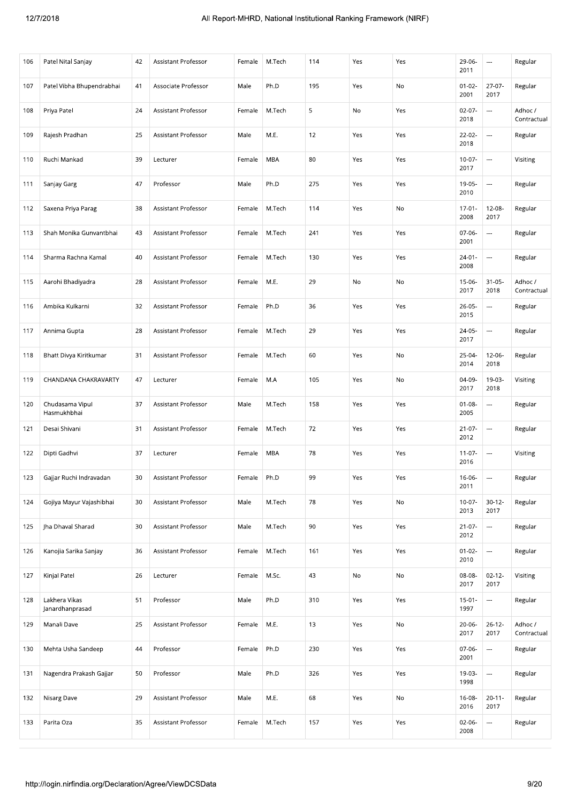| 106 | Patel Nital Sanjay                                       | 42 | Assistant Professor        | Female | M.Tech | 114 | Yes | Yes | 29-06-<br>2011      | $\cdots$                 | Regular                |
|-----|----------------------------------------------------------|----|----------------------------|--------|--------|-----|-----|-----|---------------------|--------------------------|------------------------|
| 107 | Patel Vibha Bhupendrabhai                                | 41 | Associate Professor        | Male   | Ph.D   | 195 | Yes | No  | $01 - 02 -$<br>2001 | $27-07-$<br>2017         | Regular                |
| 108 | Priya Patel                                              | 24 | Assistant Professor        | Female | M.Tech | 5   | No  | Yes | $02-07-$<br>2018    | $\ldots$                 | Adhoc /<br>Contractual |
| 109 | Rajesh Pradhan                                           | 25 | Assistant Professor        | Male   | M.E.   | 12  | Yes | Yes | $22 - 02 -$<br>2018 | ---                      | Regular                |
| 110 | Ruchi Mankad                                             | 39 | Lecturer                   | Female | MBA    | 80  | Yes | Yes | $10-07 -$<br>2017   | $\overline{a}$           | Visiting               |
| 111 | Sanjay Garg                                              | 47 | Professor                  | Male   | Ph.D   | 275 | Yes | Yes | 19-05-<br>2010      | $\cdots$                 | Regular                |
| 112 | Saxena Priya Parag                                       | 38 | Assistant Professor        | Female | M.Tech | 114 | Yes | No  | $17-01-$<br>2008    | 12-08-<br>2017           | Regular                |
| 113 | Shah Monika Gunvantbhai                                  | 43 | Assistant Professor        | Female | M.Tech | 241 | Yes | Yes | 07-06-<br>2001      | $\cdots$                 | Regular                |
| 114 | Sharma Rachna Kamal                                      | 40 | Assistant Professor        | Female | M.Tech | 130 | Yes | Yes | $24 - 01 -$<br>2008 | $\overline{\phantom{a}}$ | Regular                |
| 115 | Aarohi Bhadiyadra                                        | 28 | Assistant Professor        | Female | M.E.   | 29  | No  | No  | 15-06-<br>2017      | $31 - 05 -$<br>2018      | Adhoc /<br>Contractual |
| 116 | Ambika Kulkarni                                          | 32 | Assistant Professor        | Female | Ph.D   | 36  | Yes | Yes | $26-05-$<br>2015    | $\cdots$                 | Regular                |
| 117 | Annima Gupta                                             | 28 | Assistant Professor        | Female | M.Tech | 29  | Yes | Yes | 24-05-<br>2017      | $\overline{\phantom{a}}$ | Regular                |
| 118 | Bhatt Divya Kiritkumar                                   | 31 | Assistant Professor        | Female | M.Tech | 60  | Yes | No  | $25-04-$<br>2014    | $12 - 06 -$<br>2018      | Regular                |
| 119 | CHANDANA CHAKRAVARTY                                     | 47 | Lecturer                   | Female | M.A    | 105 | Yes | No  | 04-09-<br>2017      | 19-03-<br>2018           | Visiting               |
| 120 | Chudasama Vipul<br>Hasmukhbhai                           | 37 | Assistant Professor        | Male   | M.Tech | 158 | Yes | Yes | $01 - 08 -$<br>2005 | $\hspace{0.05cm} \cdots$ | Regular                |
| 121 | Desai Shivani                                            | 31 | Assistant Professor        | Female | M.Tech | 72  | Yes | Yes | $21 - 07 -$<br>2012 | $\overline{a}$           | Regular                |
| 122 | Dipti Gadhvi                                             | 37 | Lecturer                   | Female | MBA    | 78  | Yes | Yes | $11-07-$<br>2016    | $\cdots$                 | Visiting               |
| 123 | Gajjar Ruchi Indravadan                                  | 30 | Assistant Professor        | Female | Ph.D   | 99  | Yes | Yes | 16-06-<br>2011      | $\overline{\phantom{a}}$ | Regular                |
| 124 | Gojiya Mayur Vajashibhai                                 | 30 | <b>Assistant Professor</b> | Male   | M.Tech | 78  | Yes | No  | $10-07 -$<br>2013   | $30 - 12 -$<br>2017      | Regular                |
| 125 | Jha Dhaval Sharad                                        | 30 | Assistant Professor        | Male   | M.Tech | 90  | Yes | Yes | $21-07-$<br>2012    | $\overline{a}$           | Regular                |
| 126 | Kanojia Sarika Sanjay                                    | 36 | Assistant Professor        | Female | M.Tech | 161 | Yes | Yes | $01 - 02 -$<br>2010 | $\cdots$                 | Regular                |
| 127 | Kinjal Patel                                             | 26 | Lecturer                   | Female | M.Sc.  | 43  | No  | No  | 08-08-<br>2017      | $02 - 12 -$<br>2017      | Visiting               |
| 128 | Lakhera Vikas<br>Janardhanprasad                         | 51 | Professor                  | Male   | Ph.D   | 310 | Yes | Yes | $15-01 -$<br>1997   | $\cdots$                 | Regular                |
| 129 | Manali Dave                                              | 25 | Assistant Professor        | Female | M.E.   | 13  | Yes | No  | $20 - 06 -$<br>2017 | $26 - 12 -$<br>2017      | Adhoc /<br>Contractual |
| 130 | Mehta Usha Sandeep                                       | 44 | Professor                  | Female | Ph.D   | 230 | Yes | Yes | 07-06-<br>2001      | $\overline{\phantom{a}}$ | Regular                |
| 131 | Nagendra Prakash Gajjar                                  | 50 | Professor                  | Male   | Ph.D   | 326 | Yes | Yes | 19-03-<br>1998      | $\overline{\phantom{a}}$ | Regular                |
| 132 | Nisarg Dave                                              | 29 | Assistant Professor        | Male   | M.E.   | 68  | Yes | No  | 16-08-<br>2016      | $20 - 11 -$<br>2017      | Regular                |
| 133 | Parita Oza                                               | 35 | Assistant Professor        | Female | M.Tech | 157 | Yes | Yes | $02-06-$<br>2008    | ---                      | Regular                |
|     | http://login.nirfindia.org/Declaration/Agree/ViewDCSData |    |                            |        |        |     |     |     |                     |                          | 9/20                   |
|     |                                                          |    |                            |        |        |     |     |     |                     |                          |                        |
|     |                                                          |    |                            |        |        |     |     |     |                     |                          |                        |
|     |                                                          |    |                            |        |        |     |     |     |                     |                          |                        |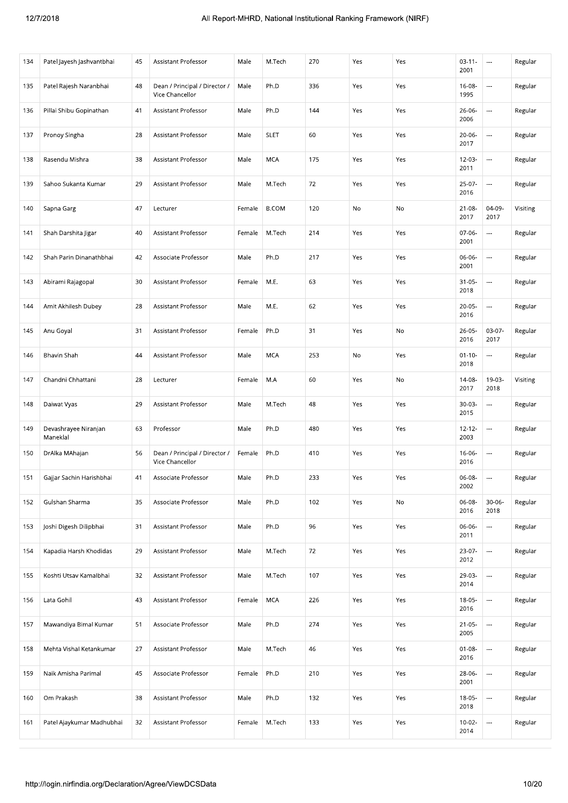| 134 | Patel Jayesh Jashvantbhai        | 45 | Assistant Professor                              | Male   | M.Tech       | 270 | Yes | Yes | $03 - 11 -$<br>2001 | $\cdots$                 | Regular  |
|-----|----------------------------------|----|--------------------------------------------------|--------|--------------|-----|-----|-----|---------------------|--------------------------|----------|
| 135 | Patel Rajesh Naranbhai           | 48 | Dean / Principal / Director /<br>Vice Chancellor | Male   | Ph.D         | 336 | Yes | Yes | $16-08-$<br>1995    | $\overline{\phantom{a}}$ | Regular  |
| 136 | Pillai Shibu Gopinathan          | 41 | Assistant Professor                              | Male   | Ph.D         | 144 | Yes | Yes | 26-06-<br>2006      | $\ldots$                 | Regular  |
| 137 | Pronoy Singha                    | 28 | Assistant Professor                              | Male   | <b>SLET</b>  | 60  | Yes | Yes | $20 - 06 -$<br>2017 | $\cdots$                 | Regular  |
| 138 | Rasendu Mishra                   | 38 | Assistant Professor                              | Male   | <b>MCA</b>   | 175 | Yes | Yes | 12-03-<br>2011      | $\overline{\phantom{a}}$ | Regular  |
| 139 | Sahoo Sukanta Kumar              | 29 | Assistant Professor                              | Male   | M.Tech       | 72  | Yes | Yes | $25-07-$<br>2016    | $\ldots$                 | Regular  |
| 140 | Sapna Garg                       | 47 | Lecturer                                         | Female | <b>B.COM</b> | 120 | No  | No  | $21 - 08 -$<br>2017 | 04-09-<br>2017           | Visiting |
| 141 | Shah Darshita Jigar              | 40 | Assistant Professor                              | Female | M.Tech       | 214 | Yes | Yes | 07-06-<br>2001      | $\cdots$                 | Regular  |
| 142 | Shah Parin Dinanathbhai          | 42 | Associate Professor                              | Male   | Ph.D         | 217 | Yes | Yes | 06-06-<br>2001      | $\overline{a}$           | Regular  |
| 143 | Abirami Rajagopal                | 30 | Assistant Professor                              | Female | M.E.         | 63  | Yes | Yes | $31 - 05 -$<br>2018 | $\ldots$                 | Regular  |
| 144 | Amit Akhilesh Dubey              | 28 | Assistant Professor                              | Male   | M.E.         | 62  | Yes | Yes | $20 - 05 -$<br>2016 | $\ldots$                 | Regular  |
| 145 | Anu Goyal                        | 31 | Assistant Professor                              | Female | Ph.D         | 31  | Yes | No  | $26 - 05 -$<br>2016 | 03-07-<br>2017           | Regular  |
| 146 | Bhavin Shah                      | 44 | Assistant Professor                              | Male   | <b>MCA</b>   | 253 | No  | Yes | $01 - 10 -$<br>2018 | $\ldots$                 | Regular  |
| 147 | Chandni Chhattani                | 28 | Lecturer                                         | Female | M.A          | 60  | Yes | No  | 14-08-<br>2017      | 19-03-<br>2018           | Visiting |
| 148 | Daiwat Vyas                      | 29 | Assistant Professor                              | Male   | M.Tech       | 48  | Yes | Yes | $30-03-$<br>2015    | $\cdots$                 | Regular  |
| 149 | Devashrayee Niranjan<br>Maneklal | 63 | Professor                                        | Male   | Ph.D         | 480 | Yes | Yes | $12 - 12 -$<br>2003 | $\ldots$                 | Regular  |
| 150 | DrAlka MAhajan                   | 56 | Dean / Principal / Director /<br>Vice Chancellor | Female | Ph.D         | 410 | Yes | Yes | 16-06-<br>2016      | $\cdots$                 | Regular  |
| 151 | Gajjar Sachin Harishbhai         | 41 | Associate Professor                              | Male   | Ph.D         | 233 | Yes | Yes | 06-08-<br>2002      | $\overline{\phantom{a}}$ | Regular  |
| 152 | Gulshan Sharma                   | 35 | Associate Professor                              | Male   | Ph.D         | 102 | Yes | No  | 06-08-<br>2016      | $30 - 06 -$<br>2018      | Regular  |
| 153 | Joshi Digesh Dilipbhai           | 31 | Assistant Professor                              | Male   | Ph.D         | 96  | Yes | Yes | 06-06-<br>2011      | $\overline{\phantom{a}}$ | Regular  |
| 154 | Kapadia Harsh Khodidas           | 29 | Assistant Professor                              | Male   | M.Tech       | 72  | Yes | Yes | $23-07-$<br>2012    | $\cdots$                 | Regular  |
| 155 | Koshti Utsav Kamalbhai           | 32 | Assistant Professor                              | Male   | M.Tech       | 107 | Yes | Yes | 29-03-<br>2014      | $\ldots$                 | Regular  |
| 156 | Lata Gohil                       | 43 | Assistant Professor                              | Female | MCA          | 226 | Yes | Yes | 18-05-<br>2016      | $\overline{\phantom{a}}$ | Regular  |
| 157 | Mawandiya Bimal Kumar            | 51 | Associate Professor                              | Male   | Ph.D         | 274 | Yes | Yes | $21 - 05 -$<br>2005 | $\ldots$                 | Regular  |
| 158 | Mehta Vishal Ketankumar          | 27 | Assistant Professor                              | Male   | M.Tech       | 46  | Yes | Yes | $01 - 08 -$<br>2016 | $\hspace{0.05cm}\ldots$  | Regular  |
| 159 | Naik Amisha Parimal              | 45 | Associate Professor                              | Female | Ph.D         | 210 | Yes | Yes | 28-06-<br>2001      | $\overline{\phantom{a}}$ | Regular  |
| 160 | Om Prakash                       | 38 | Assistant Professor                              | Male   | Ph.D         | 132 | Yes | Yes | 18-05-<br>2018      | $\overline{\phantom{a}}$ | Regular  |
| 161 | Patel Ajaykumar Madhubhai        | 32 | Assistant Professor                              | Female | M.Tech       | 133 | Yes | Yes | $10-02-$<br>2014    | $\cdots$                 | Regular  |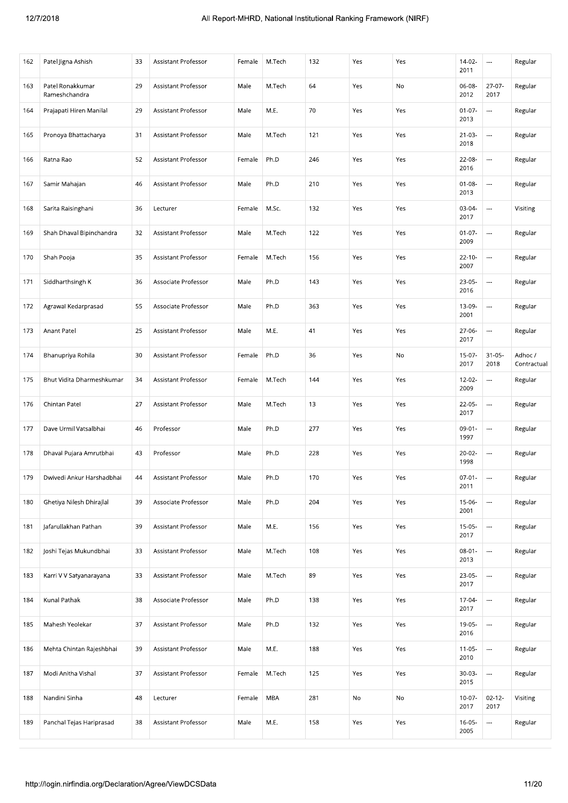| 162 | Patel Jigna Ashish                                       | 33 | Assistant Professor        | Female | M.Tech | 132 | Yes | Yes | 14-02-<br>2011      | $\sim$                   | Regular                |
|-----|----------------------------------------------------------|----|----------------------------|--------|--------|-----|-----|-----|---------------------|--------------------------|------------------------|
| 163 | Patel Ronakkumar<br>Rameshchandra                        | 29 | Assistant Professor        | Male   | M.Tech | 64  | Yes | No  | 06-08-<br>2012      | $27 - 07 -$<br>2017      | Regular                |
| 164 | Prajapati Hiren Manilal                                  | 29 | Assistant Professor        | Male   | M.E.   | 70  | Yes | Yes | $01-07-$<br>2013    | $\overline{\phantom{a}}$ | Regular                |
| 165 | Pronoya Bhattacharya                                     | 31 | Assistant Professor        | Male   | M.Tech | 121 | Yes | Yes | $21-03-$<br>2018    | ---                      | Regular                |
| 166 | Ratna Rao                                                | 52 | Assistant Professor        | Female | Ph.D   | 246 | Yes | Yes | 22-08-<br>2016      |                          | Regular                |
| 167 | Samir Mahajan                                            | 46 | Assistant Professor        | Male   | Ph.D   | 210 | Yes | Yes | $01 - 08 -$<br>2013 | ---                      | Regular                |
| 168 | Sarita Raisinghani                                       | 36 | Lecturer                   | Female | M.Sc.  | 132 | Yes | Yes | 03-04-<br>2017      | ---                      | Visiting               |
| 169 | Shah Dhaval Bipinchandra                                 | 32 | Assistant Professor        | Male   | M.Tech | 122 | Yes | Yes | $01 - 07 -$<br>2009 | $\cdots$                 | Regular                |
| 170 | Shah Pooja                                               | 35 | Assistant Professor        | Female | M.Tech | 156 | Yes | Yes | $22 - 10 -$<br>2007 |                          | Regular                |
| 171 | Siddharthsingh K                                         | 36 | Associate Professor        | Male   | Ph.D   | 143 | Yes | Yes | 23-05-<br>2016      | $\hspace{0.05cm}\ldots$  | Regular                |
| 172 | Agrawal Kedarprasad                                      | 55 | Associate Professor        | Male   | Ph.D   | 363 | Yes | Yes | 13-09-<br>2001      |                          | Regular                |
| 173 | Anant Patel                                              | 25 | Assistant Professor        | Male   | M.E.   | 41  | Yes | Yes | 27-06-<br>2017      |                          | Regular                |
| 174 | Bhanupriya Rohila                                        | 30 | Assistant Professor        | Female | Ph.D   | 36  | Yes | No  | $15-07-$<br>2017    | $31 - 05 -$<br>2018      | Adhoc /<br>Contractual |
| 175 | Bhut Vidita Dharmeshkumar                                | 34 | Assistant Professor        | Female | M.Tech | 144 | Yes | Yes | $12 - 02 -$<br>2009 | $\overline{\phantom{a}}$ | Regular                |
| 176 | Chintan Patel                                            | 27 | Assistant Professor        | Male   | M.Tech | 13  | Yes | Yes | $22-05-$<br>2017    | $\overline{\phantom{a}}$ | Regular                |
| 177 | Dave Urmil Vatsalbhai                                    | 46 | Professor                  | Male   | Ph.D   | 277 | Yes | Yes | $09-01-$<br>1997    |                          | Regular                |
| 178 | Dhaval Pujara Amrutbhai                                  | 43 | Professor                  | Male   | Ph.D   | 228 | Yes | Yes | $20-02-$<br>1998    | $\ldots$                 | Regular                |
| 179 | Dwivedi Ankur Harshadbhai                                | 44 | Assistant Professor        | Male   | Ph.D   | 170 | Yes | Yes | $07-01 -$<br>2011   | $\overline{\phantom{a}}$ | Regular                |
| 180 | Ghetiya Nilesh Dhirajlal                                 | 39 | Associate Professor        | Male   | Ph.D   | 204 | Yes | Yes | $15-06-$<br>2001    |                          | Regular                |
| 181 | Jafarullakhan Pathan                                     | 39 | <b>Assistant Professor</b> | Male   | M.E.   | 156 | Yes | Yes | $15-05-$<br>2017    |                          | Regular                |
| 182 | Joshi Tejas Mukundbhai                                   | 33 | Assistant Professor        | Male   | M.Tech | 108 | Yes | Yes | $08 - 01 -$<br>2013 |                          | Regular                |
| 183 | Karri V V Satyanarayana                                  | 33 | Assistant Professor        | Male   | M.Tech | 89  | Yes | Yes | 23-05-<br>2017      | ---                      | Regular                |
| 184 | Kunal Pathak                                             | 38 | Associate Professor        | Male   | Ph.D   | 138 | Yes | Yes | 17-04-<br>2017      | Щ,                       | Regular                |
| 185 | Mahesh Yeolekar                                          | 37 | Assistant Professor        | Male   | Ph.D   | 132 | Yes | Yes | 19-05-<br>2016      |                          | Regular                |
| 186 | Mehta Chintan Rajeshbhai                                 | 39 | Assistant Professor        | Male   | M.E.   | 188 | Yes | Yes | $11-05-$<br>2010    | $\overline{\phantom{a}}$ | Regular                |
| 187 | Modi Anitha Vishal                                       | 37 | Assistant Professor        | Female | M.Tech | 125 | Yes | Yes | $30-03-$<br>2015    |                          | Regular                |
| 188 | Nandini Sinha                                            | 48 | Lecturer                   | Female | MBA    | 281 | No  | No  | $10-07 -$<br>2017   | $02 - 12 -$<br>2017      | Visiting               |
| 189 | Panchal Tejas Hariprasad                                 | 38 | Assistant Professor        | Male   | M.E.   | 158 | Yes | Yes | $16 - 05 -$<br>2005 | $\ldots$                 | Regular                |
|     | http://login.nirfindia.org/Declaration/Agree/ViewDCSData |    |                            |        |        |     |     |     |                     |                          | 11/20                  |
|     |                                                          |    |                            |        |        |     |     |     |                     |                          |                        |
|     |                                                          |    |                            |        |        |     |     |     |                     |                          |                        |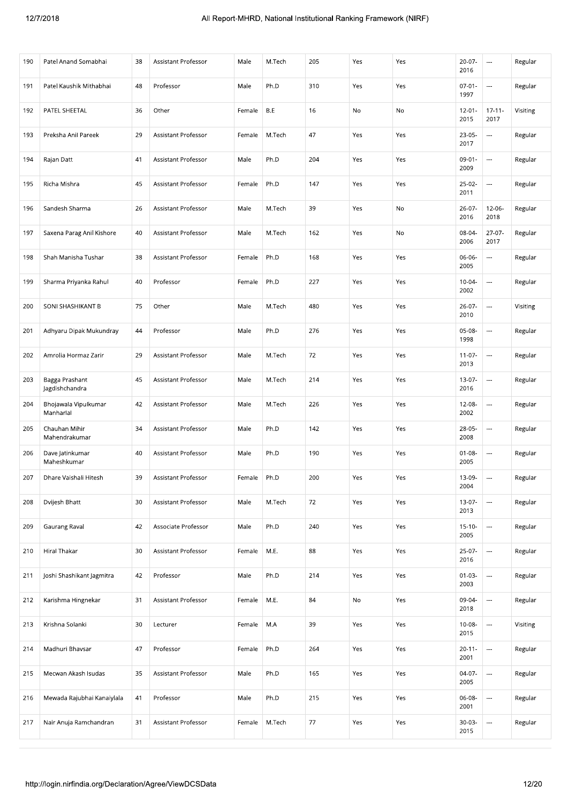#### 2018 2018 2018 All Report-MHRD, National Institutional Ranking Framework (NIRF)

| 190 | Patel Anand Somabhai                                              | 38 | Assistant Professor | Male   | M.Tech | 205 | Yes | Yes | 20-07-<br>2016      | $\cdots$                 | Regular  |  |
|-----|-------------------------------------------------------------------|----|---------------------|--------|--------|-----|-----|-----|---------------------|--------------------------|----------|--|
| 191 | Patel Kaushik Mithabhai                                           | 48 | Professor           | Male   | Ph.D   | 310 | Yes | Yes | $07-01-$<br>1997    | $\overline{\phantom{a}}$ | Regular  |  |
| 192 | PATEL SHEETAL                                                     | 36 | Other               | Female | B.E    | 16  | No  | No  | $12 - 01 -$<br>2015 | $17 - 11 -$<br>2017      | Visiting |  |
| 193 | Preksha Anil Pareek                                               | 29 | Assistant Professor | Female | M.Tech | 47  | Yes | Yes | $23-05-$<br>2017    | $\ldots$                 | Regular  |  |
| 194 | Rajan Datt                                                        | 41 | Assistant Professor | Male   | Ph.D   | 204 | Yes | Yes | $09-01-$<br>2009    | $\sim$                   | Regular  |  |
| 195 | Richa Mishra                                                      | 45 | Assistant Professor | Female | Ph.D   | 147 | Yes | Yes | $25-02-$<br>2011    | $\overline{\phantom{a}}$ | Regular  |  |
| 196 | Sandesh Sharma                                                    | 26 | Assistant Professor | Male   | M.Tech | 39  | Yes | No  | 26-07-<br>2016      | $12 - 06 -$<br>2018      | Regular  |  |
| 197 | Saxena Parag Anil Kishore                                         | 40 | Assistant Professor | Male   | M.Tech | 162 | Yes | No  | 08-04-<br>2006      | $27 - 07 -$<br>2017      | Regular  |  |
| 198 | Shah Manisha Tushar                                               | 38 | Assistant Professor | Female | Ph.D   | 168 | Yes | Yes | 06-06-<br>2005      | ---                      | Regular  |  |
| 199 | Sharma Priyanka Rahul                                             | 40 | Professor           | Female | Ph.D   | 227 | Yes | Yes | $10 - 04 -$<br>2002 | $\hspace{0.05cm}\ldots$  | Regular  |  |
| 200 | SONI SHASHIKANT B                                                 | 75 | Other               | Male   | M.Tech | 480 | Yes | Yes | 26-07-<br>2010      | $\ldots$                 | Visiting |  |
| 201 | Adhyaru Dipak Mukundray                                           | 44 | Professor           | Male   | Ph.D   | 276 | Yes | Yes | 05-08-<br>1998      |                          | Regular  |  |
| 202 | Amrolia Hormaz Zarir                                              | 29 | Assistant Professor | Male   | M.Tech | 72  | Yes | Yes | $11-07-$<br>2013    | ---                      | Regular  |  |
| 203 | Bagga Prashant<br>Jagdishchandra                                  | 45 | Assistant Professor | Male   | M.Tech | 214 | Yes | Yes | 13-07-<br>2016      | $\ldots$                 | Regular  |  |
| 204 | Bhojawala Vipulkumar<br>Manharlal                                 | 42 | Assistant Professor | Male   | M.Tech | 226 | Yes | Yes | 12-08-<br>2002      | $\ldots$                 | Regular  |  |
| 205 | Chauhan Mihir<br>Mahendrakumar                                    | 34 | Assistant Professor | Male   | Ph.D   | 142 | Yes | Yes | 28-05-<br>2008      | $\overline{\phantom{a}}$ | Regular  |  |
| 206 | Dave Jatinkumar<br>Maheshkumar                                    | 40 | Assistant Professor | Male   | Ph.D   | 190 | Yes | Yes | $01 - 08 -$<br>2005 | ---                      | Regular  |  |
| 207 | Dhare Vaishali Hitesh                                             | 39 | Assistant Professor | Female | Ph.D   | 200 | Yes | Yes | 13-09-<br>2004      | $\scriptstyle\cdots$     | Regular  |  |
| 208 | Dvijesh Bhatt                                                     | 30 | Assistant Professor | Male   | M.Tech | 72  | Yes | Yes | $13-07-$<br>2013    | $\ldots$                 | Regular  |  |
| 209 | Gaurang Raval                                                     | 42 | Associate Professor | Male   | Ph.D   | 240 | Yes | Yes | $15 - 10 -$<br>2005 | $\overline{\phantom{a}}$ | Regular  |  |
| 210 | Hiral Thakar                                                      | 30 | Assistant Professor | Female | M.E.   | 88  | Yes | Yes | 25-07-<br>2016      | $\overline{\phantom{a}}$ | Regular  |  |
| 211 | Joshi Shashikant Jagmitra                                         | 42 | Professor           | Male   | Ph.D   | 214 | Yes | Yes | $01 - 03 -$<br>2003 | $\ldots$                 | Regular  |  |
| 212 | Karishma Hingnekar                                                | 31 | Assistant Professor | Female | M.E.   | 84  | No  | Yes | 09-04-<br>2018      | ---                      | Regular  |  |
| 213 | Krishna Solanki                                                   | 30 | Lecturer            | Female | M.A    | 39  | Yes | Yes | 10-08-<br>2015      | $\overline{\phantom{a}}$ | Visiting |  |
| 214 | Madhuri Bhavsar                                                   | 47 | Professor           | Female | Ph.D   | 264 | Yes | Yes | $20 - 11 -$<br>2001 | $\hspace{0.05cm} \ldots$ | Regular  |  |
| 215 | Mecwan Akash Isudas                                               | 35 | Assistant Professor | Male   | Ph.D   | 165 | Yes | Yes | $04-07-$<br>2005    | $\ldots$                 | Regular  |  |
| 216 | Mewada Rajubhai Kanaiylala                                        | 41 | Professor           | Male   | Ph.D   | 215 | Yes | Yes | 06-08-<br>2001      | $\overline{\phantom{a}}$ | Regular  |  |
| 217 | Nair Anuja Ramchandran                                            | 31 | Assistant Professor | Female | M.Tech | 77  | Yes | Yes | $30-03-$<br>2015    |                          | Regular  |  |
|     | 12/20<br>http://login.nirfindia.org/Declaration/Agree/ViewDCSData |    |                     |        |        |     |     |     |                     |                          |          |  |
|     |                                                                   |    |                     |        |        |     |     |     |                     |                          |          |  |
|     |                                                                   |    |                     |        |        |     |     |     |                     |                          |          |  |
|     |                                                                   |    |                     |        |        |     |     |     |                     |                          |          |  |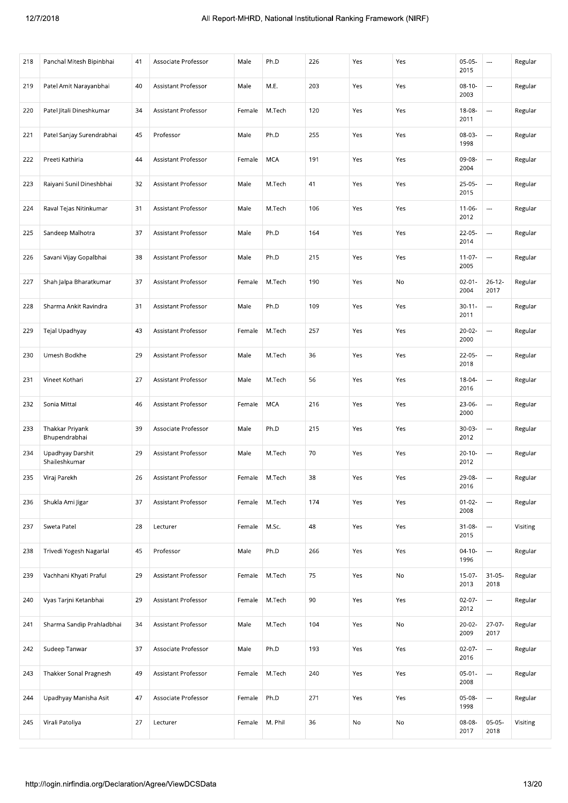| 218 | Panchal Mitesh Bipinbhai                                 | 41 | Associate Professor        | Male   | Ph.D       | 226 | Yes | Yes | $05-05-$<br>2015    | $\sim$                   | Regular  |
|-----|----------------------------------------------------------|----|----------------------------|--------|------------|-----|-----|-----|---------------------|--------------------------|----------|
| 219 | Patel Amit Narayanbhai                                   | 40 | <b>Assistant Professor</b> | Male   | M.E.       | 203 | Yes | Yes | $08-10-$<br>2003    | ---                      | Regular  |
| 220 | Patel Jitali Dineshkumar                                 | 34 | Assistant Professor        | Female | M.Tech     | 120 | Yes | Yes | 18-08-<br>2011      |                          | Regular  |
| 221 | Patel Sanjay Surendrabhai                                | 45 | Professor                  | Male   | Ph.D       | 255 | Yes | Yes | 08-03-<br>1998      |                          | Regular  |
| 222 | Preeti Kathiria                                          | 44 | Assistant Professor        | Female | <b>MCA</b> | 191 | Yes | Yes | 09-08-<br>2004      | ---                      | Regular  |
| 223 | Raiyani Sunil Dineshbhai                                 | 32 | Assistant Professor        | Male   | M.Tech     | 41  | Yes | Yes | $25-05-$<br>2015    | ---                      | Regular  |
| 224 | Raval Tejas Nitinkumar                                   | 31 | Assistant Professor        | Male   | M.Tech     | 106 | Yes | Yes | $11 - 06 -$<br>2012 | $\overline{a}$           | Regular  |
| 225 | Sandeep Malhotra                                         | 37 | Assistant Professor        | Male   | Ph.D       | 164 | Yes | Yes | $22-05-$<br>2014    | ---                      | Regular  |
| 226 | Savani Vijay Gopalbhai                                   | 38 | Assistant Professor        | Male   | Ph.D       | 215 | Yes | Yes | $11-07-$<br>2005    | $\overline{\phantom{a}}$ | Regular  |
| 227 | Shah Jalpa Bharatkumar                                   | 37 | Assistant Professor        | Female | M.Tech     | 190 | Yes | No  | $02 - 01 -$<br>2004 | $26 - 12 -$<br>2017      | Regular  |
| 228 | Sharma Ankit Ravindra                                    | 31 | Assistant Professor        | Male   | Ph.D       | 109 | Yes | Yes | $30 - 11 -$<br>2011 | ---                      | Regular  |
| 229 | Tejal Upadhyay                                           | 43 | Assistant Professor        | Female | M.Tech     | 257 | Yes | Yes | $20-02-$<br>2000    | $\overline{a}$           | Regular  |
| 230 | Umesh Bodkhe                                             | 29 | Assistant Professor        | Male   | M.Tech     | 36  | Yes | Yes | $22-05-$<br>2018    | $\cdots$                 | Regular  |
| 231 | Vineet Kothari                                           | 27 | Assistant Professor        | Male   | M.Tech     | 56  | Yes | Yes | 18-04-<br>2016      | $\overline{\phantom{a}}$ | Regular  |
| 232 | Sonia Mittal                                             | 46 | Assistant Professor        | Female | MCA        | 216 | Yes | Yes | 23-06-<br>2000      | $\overline{\phantom{a}}$ | Regular  |
| 233 | Thakkar Priyank<br>Bhupendrabhai                         | 39 | Associate Professor        | Male   | Ph.D       | 215 | Yes | Yes | 30-03-<br>2012      |                          | Regular  |
| 234 | Upadhyay Darshit<br>Shaileshkumar                        | 29 | Assistant Professor        | Male   | M.Tech     | 70  | Yes | Yes | $20 - 10 -$<br>2012 | ---                      | Regular  |
| 235 | Viraj Parekh                                             | 26 | Assistant Professor        | Female | M.Tech     | 38  | Yes | Yes | 29-08-<br>2016      | $\overline{\phantom{a}}$ | Regular  |
| 236 | Shukla Ami Jigar                                         | 37 | Assistant Professor        | Female | M.Tech     | 174 | Yes | Yes | $01 - 02 -$<br>2008 | $\overline{\phantom{a}}$ | Regular  |
| 237 | Sweta Patel                                              | 28 | Lecturer                   | Female | M.Sc.      | 48  | Yes | Yes | $31 - 08 -$<br>2015 |                          | Visiting |
| 238 | Trivedi Yogesh Nagarlal                                  | 45 | Professor                  | Male   | Ph.D       | 266 | Yes | Yes | $04 - 10 -$<br>1996 | ---                      | Regular  |
| 239 | Vachhani Khyati Praful                                   | 29 | <b>Assistant Professor</b> | Female | M.Tech     | 75  | Yes | No  | $15-07-$<br>2013    | $31 - 05 -$<br>2018      | Regular  |
| 240 | Vyas Tarjni Ketanbhai                                    | 29 | Assistant Professor        | Female | M.Tech     | 90  | Yes | Yes | $02 - 07 -$<br>2012 | ---                      | Regular  |
| 241 | Sharma Sandip Prahladbhai                                | 34 | Assistant Professor        | Male   | M.Tech     | 104 | Yes | No  | $20-02-$<br>2009    | $27 - 07 -$<br>2017      | Regular  |
| 242 | Sudeep Tanwar                                            | 37 | Associate Professor        | Male   | Ph.D       | 193 | Yes | Yes | $02-07-$<br>2016    | $\overline{\phantom{a}}$ | Regular  |
| 243 | Thakker Sonal Pragnesh                                   | 49 | Assistant Professor        | Female | M.Tech     | 240 | Yes | Yes | $05-01-$<br>2008    |                          | Regular  |
| 244 | Upadhyay Manisha Asit                                    | 47 | Associate Professor        | Female | Ph.D       | 271 | Yes | Yes | 05-08-<br>1998      |                          | Regular  |
| 245 | Virali Patoliya                                          | 27 | Lecturer                   | Female | M. Phil    | 36  | No  | No  | 08-08-<br>2017      | $05-05-$<br>2018         | Visiting |
|     |                                                          |    |                            |        |            |     |     |     |                     |                          |          |
|     | http://login.nirfindia.org/Declaration/Agree/ViewDCSData |    |                            |        |            |     |     |     |                     |                          | 13/20    |
|     |                                                          |    |                            |        |            |     |     |     |                     |                          |          |
|     |                                                          |    |                            |        |            |     |     |     |                     |                          |          |
|     |                                                          |    |                            |        |            |     |     |     |                     |                          |          |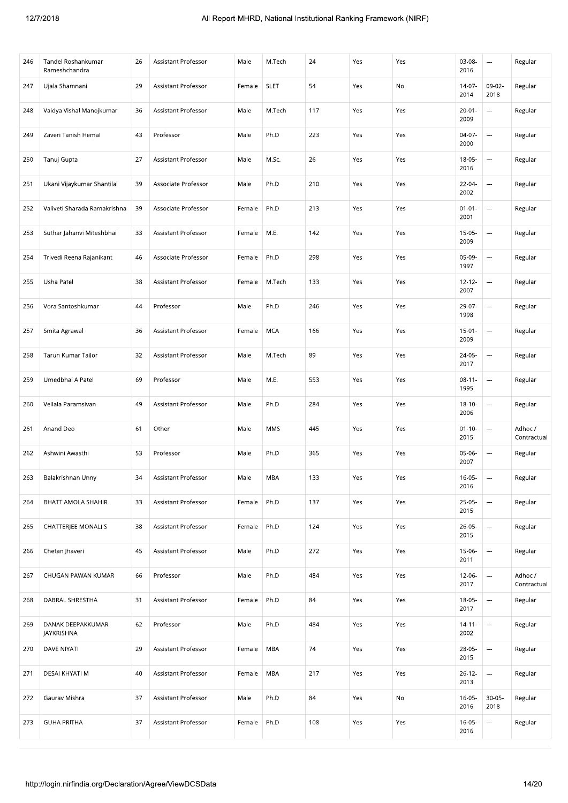| <b>SLET</b><br>$14-07-$<br>09-02-<br>Ujala Shamnani<br>29<br>Assistant Professor<br>54<br>Yes<br>No<br>Regular<br>247<br>Female<br>2014<br>2018<br>Vaidya Vishal Manojkumar<br>36<br>Assistant Professor<br>117<br>248<br>Male<br>M.Tech<br>Yes<br>Yes<br>$20 - 01 -$<br>$\overline{\phantom{a}}$<br>Regular<br>2009<br>43<br>Ph.D<br>223<br>249<br>Zaveri Tanish Hemal<br>Professor<br>Male<br>Yes<br>Yes<br>$04-07-$<br><br>Regular<br>2000<br>$\overline{\phantom{a}}$<br>27<br>Assistant Professor<br>Male<br>M.Sc.<br>26<br>Yes<br>Yes<br>$18-05-$<br>250<br>Tanuj Gupta<br>Regular<br>2016<br>Ph.D<br>210<br>Yes<br>Yes<br>22-04-<br>Ukani Vijaykumar Shantilal<br>39<br>Associate Professor<br>Male<br>---<br>Regular<br>251<br>2002<br>Ph.D<br>252<br>Valiveti Sharada Ramakrishna<br>39<br>Associate Professor<br>213<br>Yes<br>Yes<br>$01 - 01 -$<br>$\overline{\phantom{a}}$<br>Regular<br>Female<br>2001<br>33<br>M.E.<br>142<br>Yes<br>Yes<br>$15-05-$<br>Regular<br>253<br>Suthar Jahanvi Miteshbhai<br>Assistant Professor<br>Female<br>$\ldots$<br>2009<br>Ph.D<br>298<br>$05-09-$<br>Trivedi Reena Rajanikant<br>46<br>Associate Professor<br>Yes<br>Yes<br>---<br>Regular<br>254<br>Female<br>1997<br>Usha Patel<br>38<br>M.Tech<br>133<br>Assistant Professor<br>Yes<br>Yes<br>$12 - 12 -$<br>$\overline{a}$<br>Regular<br>255<br>Female<br>2007<br>Ph.D<br>246<br>Vora Santoshkumar<br>44<br>Professor<br>Male<br>Yes<br>Yes<br>29-07-<br>256<br><br>Regular<br>1998<br><b>MCA</b><br>36<br>Assistant Professor<br>166<br>Yes<br>Yes<br>$15 - 01 -$<br>$\overline{\phantom{a}}$<br>257<br>Smita Agrawal<br>Female<br>Regular<br>2009<br>89<br>Tarun Kumar Tailor<br>32<br>Assistant Professor<br>Male<br>M.Tech<br>Yes<br>Yes<br>24-05-<br>$\overline{\phantom{a}}$<br>Regular<br>258<br>2017<br>Umedbhai A Patel<br>69<br>Professor<br>Male<br>553<br>Yes<br>Yes<br>$08 - 11 -$<br>259<br>M.E.<br>$\overline{\phantom{a}}$<br>Regular<br>1995<br>49<br>Assistant Professor<br>Ph.D<br>284<br>$18 - 10 -$<br>260<br>Vellala Paramsivan<br>Male<br>Yes<br>Yes<br>$\ldots$<br>Regular<br>2006<br>61<br><b>MMS</b><br>445<br>Anand Deo<br>Other<br>Male<br>Yes<br>Yes<br>$01 - 10 -$<br>---<br>Adhoc /<br>261<br>2015<br>Contractual<br>53<br>Professor<br>Ph.D<br>365<br>Ashwini Awasthi<br>Male<br>Yes<br>Yes<br>$05-06-$<br>262<br>$\ldots$<br>Regular<br>2007<br>$16 - 05 -$<br>34<br>Male<br>MBA<br>133<br>÷,<br>263<br>Balakrishnan Unny<br>Assistant Professor<br>Yes<br>Yes<br>Regular<br>2016<br>Ph.D<br>$25-05-$<br>$\cdots$<br>33<br>Assistant Professor<br>137<br>Yes<br>Yes<br>Regular<br>264<br>BHATT AMOLA SHAHIR<br>Female<br>2015<br><br><b>CHATTERJEE MONALI S</b><br>Ph.D<br>124<br>38<br>Assistant Professor<br>Female<br>Yes<br>Yes<br>26-05-<br>Regular<br>265<br>2015<br>Chetan Jhaveri<br>45<br>Assistant Professor<br>Male<br>Ph.D<br>272<br>Yes<br>Yes<br>---<br>Regular<br>266<br>$15-06-$<br>2011<br>Ph.D<br>484<br>Adhoc /<br>267<br>CHUGAN PAWAN KUMAR<br>66<br>Professor<br>Male<br>Yes<br>Yes<br>12-06-<br>$\ldots$<br>2017<br>Contractual<br>Ph.D<br>84<br><br>DABRAL SHRESTHA<br>31<br>Assistant Professor<br>Female<br>Yes<br>Yes<br>18-05-<br>Regular<br>268<br>2017<br>484<br>62<br>Professor<br>Male<br>Ph.D<br>Yes<br>Yes<br>269<br>DANAK DEEPAKKUMAR<br>$14 - 11 -$<br>$\overline{\phantom{a}}$<br>Regular<br>JAYKRISHNA<br>2002<br>29<br>MBA<br>74<br>28-05-<br>$\overline{\phantom{a}}$<br>270<br>DAVE NIYATI<br>Assistant Professor<br>Female<br>Yes<br>Yes<br>Regular<br>2015<br><br>DESAI KHYATI M<br>40<br>Assistant Professor<br>MBA<br>217<br>Yes<br>Yes<br>$26-12-$<br>Regular<br>271<br>Female<br>2013<br>Ph.D<br>84<br>$30 - 05 -$<br>Gaurav Mishra<br>37<br>Assistant Professor<br>Male<br>Yes<br>No<br>$16 - 05 -$<br>Regular<br>272<br>2016<br>2018<br><b>GUHA PRITHA</b><br>37<br>Assistant Professor<br>Ph.D<br>108<br>Yes<br>Yes<br>273<br>Female<br>$16 - 05 -$<br>Regular<br>$\ldots$<br>2016<br>14/20<br>http://login.nirfindia.org/Declaration/Agree/ViewDCSData | 246 | Tandel Roshankumar<br>Rameshchandra | 26 | Assistant Professor | Male | M.Tech | 24 | Yes | Yes | 03-08-<br>2016 | $\sim$ | Regular |
|------------------------------------------------------------------------------------------------------------------------------------------------------------------------------------------------------------------------------------------------------------------------------------------------------------------------------------------------------------------------------------------------------------------------------------------------------------------------------------------------------------------------------------------------------------------------------------------------------------------------------------------------------------------------------------------------------------------------------------------------------------------------------------------------------------------------------------------------------------------------------------------------------------------------------------------------------------------------------------------------------------------------------------------------------------------------------------------------------------------------------------------------------------------------------------------------------------------------------------------------------------------------------------------------------------------------------------------------------------------------------------------------------------------------------------------------------------------------------------------------------------------------------------------------------------------------------------------------------------------------------------------------------------------------------------------------------------------------------------------------------------------------------------------------------------------------------------------------------------------------------------------------------------------------------------------------------------------------------------------------------------------------------------------------------------------------------------------------------------------------------------------------------------------------------------------------------------------------------------------------------------------------------------------------------------------------------------------------------------------------------------------------------------------------------------------------------------------------------------------------------------------------------------------------------------------------------------------------------------------------------------------------------------------------------------------------------------------------------------------------------------------------------------------------------------------------------------------------------------------------------------------------------------------------------------------------------------------------------------------------------------------------------------------------------------------------------------------------------------------------------------------------------------------------------------------------------------------------------------------------------------------------------------------------------------------------------------------------------------------------------------------------------------------------------------------------------------------------------------------------------------------------------------------------------------------------------------------------------------------------------------------------------------------------------------------------------------------------------------------------------------------------------------------------------------------------------------------------------------------------------------------------------------------------------------------------------------------------------------------------------------------------------------------------|-----|-------------------------------------|----|---------------------|------|--------|----|-----|-----|----------------|--------|---------|
|                                                                                                                                                                                                                                                                                                                                                                                                                                                                                                                                                                                                                                                                                                                                                                                                                                                                                                                                                                                                                                                                                                                                                                                                                                                                                                                                                                                                                                                                                                                                                                                                                                                                                                                                                                                                                                                                                                                                                                                                                                                                                                                                                                                                                                                                                                                                                                                                                                                                                                                                                                                                                                                                                                                                                                                                                                                                                                                                                                                                                                                                                                                                                                                                                                                                                                                                                                                                                                                                                                                                                                                                                                                                                                                                                                                                                                                                                                                                                                                                                                                |     |                                     |    |                     |      |        |    |     |     |                |        |         |
|                                                                                                                                                                                                                                                                                                                                                                                                                                                                                                                                                                                                                                                                                                                                                                                                                                                                                                                                                                                                                                                                                                                                                                                                                                                                                                                                                                                                                                                                                                                                                                                                                                                                                                                                                                                                                                                                                                                                                                                                                                                                                                                                                                                                                                                                                                                                                                                                                                                                                                                                                                                                                                                                                                                                                                                                                                                                                                                                                                                                                                                                                                                                                                                                                                                                                                                                                                                                                                                                                                                                                                                                                                                                                                                                                                                                                                                                                                                                                                                                                                                |     |                                     |    |                     |      |        |    |     |     |                |        |         |
|                                                                                                                                                                                                                                                                                                                                                                                                                                                                                                                                                                                                                                                                                                                                                                                                                                                                                                                                                                                                                                                                                                                                                                                                                                                                                                                                                                                                                                                                                                                                                                                                                                                                                                                                                                                                                                                                                                                                                                                                                                                                                                                                                                                                                                                                                                                                                                                                                                                                                                                                                                                                                                                                                                                                                                                                                                                                                                                                                                                                                                                                                                                                                                                                                                                                                                                                                                                                                                                                                                                                                                                                                                                                                                                                                                                                                                                                                                                                                                                                                                                |     |                                     |    |                     |      |        |    |     |     |                |        |         |
|                                                                                                                                                                                                                                                                                                                                                                                                                                                                                                                                                                                                                                                                                                                                                                                                                                                                                                                                                                                                                                                                                                                                                                                                                                                                                                                                                                                                                                                                                                                                                                                                                                                                                                                                                                                                                                                                                                                                                                                                                                                                                                                                                                                                                                                                                                                                                                                                                                                                                                                                                                                                                                                                                                                                                                                                                                                                                                                                                                                                                                                                                                                                                                                                                                                                                                                                                                                                                                                                                                                                                                                                                                                                                                                                                                                                                                                                                                                                                                                                                                                |     |                                     |    |                     |      |        |    |     |     |                |        |         |
|                                                                                                                                                                                                                                                                                                                                                                                                                                                                                                                                                                                                                                                                                                                                                                                                                                                                                                                                                                                                                                                                                                                                                                                                                                                                                                                                                                                                                                                                                                                                                                                                                                                                                                                                                                                                                                                                                                                                                                                                                                                                                                                                                                                                                                                                                                                                                                                                                                                                                                                                                                                                                                                                                                                                                                                                                                                                                                                                                                                                                                                                                                                                                                                                                                                                                                                                                                                                                                                                                                                                                                                                                                                                                                                                                                                                                                                                                                                                                                                                                                                |     |                                     |    |                     |      |        |    |     |     |                |        |         |
|                                                                                                                                                                                                                                                                                                                                                                                                                                                                                                                                                                                                                                                                                                                                                                                                                                                                                                                                                                                                                                                                                                                                                                                                                                                                                                                                                                                                                                                                                                                                                                                                                                                                                                                                                                                                                                                                                                                                                                                                                                                                                                                                                                                                                                                                                                                                                                                                                                                                                                                                                                                                                                                                                                                                                                                                                                                                                                                                                                                                                                                                                                                                                                                                                                                                                                                                                                                                                                                                                                                                                                                                                                                                                                                                                                                                                                                                                                                                                                                                                                                |     |                                     |    |                     |      |        |    |     |     |                |        |         |
|                                                                                                                                                                                                                                                                                                                                                                                                                                                                                                                                                                                                                                                                                                                                                                                                                                                                                                                                                                                                                                                                                                                                                                                                                                                                                                                                                                                                                                                                                                                                                                                                                                                                                                                                                                                                                                                                                                                                                                                                                                                                                                                                                                                                                                                                                                                                                                                                                                                                                                                                                                                                                                                                                                                                                                                                                                                                                                                                                                                                                                                                                                                                                                                                                                                                                                                                                                                                                                                                                                                                                                                                                                                                                                                                                                                                                                                                                                                                                                                                                                                |     |                                     |    |                     |      |        |    |     |     |                |        |         |
|                                                                                                                                                                                                                                                                                                                                                                                                                                                                                                                                                                                                                                                                                                                                                                                                                                                                                                                                                                                                                                                                                                                                                                                                                                                                                                                                                                                                                                                                                                                                                                                                                                                                                                                                                                                                                                                                                                                                                                                                                                                                                                                                                                                                                                                                                                                                                                                                                                                                                                                                                                                                                                                                                                                                                                                                                                                                                                                                                                                                                                                                                                                                                                                                                                                                                                                                                                                                                                                                                                                                                                                                                                                                                                                                                                                                                                                                                                                                                                                                                                                |     |                                     |    |                     |      |        |    |     |     |                |        |         |
|                                                                                                                                                                                                                                                                                                                                                                                                                                                                                                                                                                                                                                                                                                                                                                                                                                                                                                                                                                                                                                                                                                                                                                                                                                                                                                                                                                                                                                                                                                                                                                                                                                                                                                                                                                                                                                                                                                                                                                                                                                                                                                                                                                                                                                                                                                                                                                                                                                                                                                                                                                                                                                                                                                                                                                                                                                                                                                                                                                                                                                                                                                                                                                                                                                                                                                                                                                                                                                                                                                                                                                                                                                                                                                                                                                                                                                                                                                                                                                                                                                                |     |                                     |    |                     |      |        |    |     |     |                |        |         |
|                                                                                                                                                                                                                                                                                                                                                                                                                                                                                                                                                                                                                                                                                                                                                                                                                                                                                                                                                                                                                                                                                                                                                                                                                                                                                                                                                                                                                                                                                                                                                                                                                                                                                                                                                                                                                                                                                                                                                                                                                                                                                                                                                                                                                                                                                                                                                                                                                                                                                                                                                                                                                                                                                                                                                                                                                                                                                                                                                                                                                                                                                                                                                                                                                                                                                                                                                                                                                                                                                                                                                                                                                                                                                                                                                                                                                                                                                                                                                                                                                                                |     |                                     |    |                     |      |        |    |     |     |                |        |         |
|                                                                                                                                                                                                                                                                                                                                                                                                                                                                                                                                                                                                                                                                                                                                                                                                                                                                                                                                                                                                                                                                                                                                                                                                                                                                                                                                                                                                                                                                                                                                                                                                                                                                                                                                                                                                                                                                                                                                                                                                                                                                                                                                                                                                                                                                                                                                                                                                                                                                                                                                                                                                                                                                                                                                                                                                                                                                                                                                                                                                                                                                                                                                                                                                                                                                                                                                                                                                                                                                                                                                                                                                                                                                                                                                                                                                                                                                                                                                                                                                                                                |     |                                     |    |                     |      |        |    |     |     |                |        |         |
|                                                                                                                                                                                                                                                                                                                                                                                                                                                                                                                                                                                                                                                                                                                                                                                                                                                                                                                                                                                                                                                                                                                                                                                                                                                                                                                                                                                                                                                                                                                                                                                                                                                                                                                                                                                                                                                                                                                                                                                                                                                                                                                                                                                                                                                                                                                                                                                                                                                                                                                                                                                                                                                                                                                                                                                                                                                                                                                                                                                                                                                                                                                                                                                                                                                                                                                                                                                                                                                                                                                                                                                                                                                                                                                                                                                                                                                                                                                                                                                                                                                |     |                                     |    |                     |      |        |    |     |     |                |        |         |
|                                                                                                                                                                                                                                                                                                                                                                                                                                                                                                                                                                                                                                                                                                                                                                                                                                                                                                                                                                                                                                                                                                                                                                                                                                                                                                                                                                                                                                                                                                                                                                                                                                                                                                                                                                                                                                                                                                                                                                                                                                                                                                                                                                                                                                                                                                                                                                                                                                                                                                                                                                                                                                                                                                                                                                                                                                                                                                                                                                                                                                                                                                                                                                                                                                                                                                                                                                                                                                                                                                                                                                                                                                                                                                                                                                                                                                                                                                                                                                                                                                                |     |                                     |    |                     |      |        |    |     |     |                |        |         |
|                                                                                                                                                                                                                                                                                                                                                                                                                                                                                                                                                                                                                                                                                                                                                                                                                                                                                                                                                                                                                                                                                                                                                                                                                                                                                                                                                                                                                                                                                                                                                                                                                                                                                                                                                                                                                                                                                                                                                                                                                                                                                                                                                                                                                                                                                                                                                                                                                                                                                                                                                                                                                                                                                                                                                                                                                                                                                                                                                                                                                                                                                                                                                                                                                                                                                                                                                                                                                                                                                                                                                                                                                                                                                                                                                                                                                                                                                                                                                                                                                                                |     |                                     |    |                     |      |        |    |     |     |                |        |         |
|                                                                                                                                                                                                                                                                                                                                                                                                                                                                                                                                                                                                                                                                                                                                                                                                                                                                                                                                                                                                                                                                                                                                                                                                                                                                                                                                                                                                                                                                                                                                                                                                                                                                                                                                                                                                                                                                                                                                                                                                                                                                                                                                                                                                                                                                                                                                                                                                                                                                                                                                                                                                                                                                                                                                                                                                                                                                                                                                                                                                                                                                                                                                                                                                                                                                                                                                                                                                                                                                                                                                                                                                                                                                                                                                                                                                                                                                                                                                                                                                                                                |     |                                     |    |                     |      |        |    |     |     |                |        |         |
|                                                                                                                                                                                                                                                                                                                                                                                                                                                                                                                                                                                                                                                                                                                                                                                                                                                                                                                                                                                                                                                                                                                                                                                                                                                                                                                                                                                                                                                                                                                                                                                                                                                                                                                                                                                                                                                                                                                                                                                                                                                                                                                                                                                                                                                                                                                                                                                                                                                                                                                                                                                                                                                                                                                                                                                                                                                                                                                                                                                                                                                                                                                                                                                                                                                                                                                                                                                                                                                                                                                                                                                                                                                                                                                                                                                                                                                                                                                                                                                                                                                |     |                                     |    |                     |      |        |    |     |     |                |        |         |
|                                                                                                                                                                                                                                                                                                                                                                                                                                                                                                                                                                                                                                                                                                                                                                                                                                                                                                                                                                                                                                                                                                                                                                                                                                                                                                                                                                                                                                                                                                                                                                                                                                                                                                                                                                                                                                                                                                                                                                                                                                                                                                                                                                                                                                                                                                                                                                                                                                                                                                                                                                                                                                                                                                                                                                                                                                                                                                                                                                                                                                                                                                                                                                                                                                                                                                                                                                                                                                                                                                                                                                                                                                                                                                                                                                                                                                                                                                                                                                                                                                                |     |                                     |    |                     |      |        |    |     |     |                |        |         |
|                                                                                                                                                                                                                                                                                                                                                                                                                                                                                                                                                                                                                                                                                                                                                                                                                                                                                                                                                                                                                                                                                                                                                                                                                                                                                                                                                                                                                                                                                                                                                                                                                                                                                                                                                                                                                                                                                                                                                                                                                                                                                                                                                                                                                                                                                                                                                                                                                                                                                                                                                                                                                                                                                                                                                                                                                                                                                                                                                                                                                                                                                                                                                                                                                                                                                                                                                                                                                                                                                                                                                                                                                                                                                                                                                                                                                                                                                                                                                                                                                                                |     |                                     |    |                     |      |        |    |     |     |                |        |         |
|                                                                                                                                                                                                                                                                                                                                                                                                                                                                                                                                                                                                                                                                                                                                                                                                                                                                                                                                                                                                                                                                                                                                                                                                                                                                                                                                                                                                                                                                                                                                                                                                                                                                                                                                                                                                                                                                                                                                                                                                                                                                                                                                                                                                                                                                                                                                                                                                                                                                                                                                                                                                                                                                                                                                                                                                                                                                                                                                                                                                                                                                                                                                                                                                                                                                                                                                                                                                                                                                                                                                                                                                                                                                                                                                                                                                                                                                                                                                                                                                                                                |     |                                     |    |                     |      |        |    |     |     |                |        |         |
|                                                                                                                                                                                                                                                                                                                                                                                                                                                                                                                                                                                                                                                                                                                                                                                                                                                                                                                                                                                                                                                                                                                                                                                                                                                                                                                                                                                                                                                                                                                                                                                                                                                                                                                                                                                                                                                                                                                                                                                                                                                                                                                                                                                                                                                                                                                                                                                                                                                                                                                                                                                                                                                                                                                                                                                                                                                                                                                                                                                                                                                                                                                                                                                                                                                                                                                                                                                                                                                                                                                                                                                                                                                                                                                                                                                                                                                                                                                                                                                                                                                |     |                                     |    |                     |      |        |    |     |     |                |        |         |
|                                                                                                                                                                                                                                                                                                                                                                                                                                                                                                                                                                                                                                                                                                                                                                                                                                                                                                                                                                                                                                                                                                                                                                                                                                                                                                                                                                                                                                                                                                                                                                                                                                                                                                                                                                                                                                                                                                                                                                                                                                                                                                                                                                                                                                                                                                                                                                                                                                                                                                                                                                                                                                                                                                                                                                                                                                                                                                                                                                                                                                                                                                                                                                                                                                                                                                                                                                                                                                                                                                                                                                                                                                                                                                                                                                                                                                                                                                                                                                                                                                                |     |                                     |    |                     |      |        |    |     |     |                |        |         |
|                                                                                                                                                                                                                                                                                                                                                                                                                                                                                                                                                                                                                                                                                                                                                                                                                                                                                                                                                                                                                                                                                                                                                                                                                                                                                                                                                                                                                                                                                                                                                                                                                                                                                                                                                                                                                                                                                                                                                                                                                                                                                                                                                                                                                                                                                                                                                                                                                                                                                                                                                                                                                                                                                                                                                                                                                                                                                                                                                                                                                                                                                                                                                                                                                                                                                                                                                                                                                                                                                                                                                                                                                                                                                                                                                                                                                                                                                                                                                                                                                                                |     |                                     |    |                     |      |        |    |     |     |                |        |         |
|                                                                                                                                                                                                                                                                                                                                                                                                                                                                                                                                                                                                                                                                                                                                                                                                                                                                                                                                                                                                                                                                                                                                                                                                                                                                                                                                                                                                                                                                                                                                                                                                                                                                                                                                                                                                                                                                                                                                                                                                                                                                                                                                                                                                                                                                                                                                                                                                                                                                                                                                                                                                                                                                                                                                                                                                                                                                                                                                                                                                                                                                                                                                                                                                                                                                                                                                                                                                                                                                                                                                                                                                                                                                                                                                                                                                                                                                                                                                                                                                                                                |     |                                     |    |                     |      |        |    |     |     |                |        |         |
|                                                                                                                                                                                                                                                                                                                                                                                                                                                                                                                                                                                                                                                                                                                                                                                                                                                                                                                                                                                                                                                                                                                                                                                                                                                                                                                                                                                                                                                                                                                                                                                                                                                                                                                                                                                                                                                                                                                                                                                                                                                                                                                                                                                                                                                                                                                                                                                                                                                                                                                                                                                                                                                                                                                                                                                                                                                                                                                                                                                                                                                                                                                                                                                                                                                                                                                                                                                                                                                                                                                                                                                                                                                                                                                                                                                                                                                                                                                                                                                                                                                |     |                                     |    |                     |      |        |    |     |     |                |        |         |
|                                                                                                                                                                                                                                                                                                                                                                                                                                                                                                                                                                                                                                                                                                                                                                                                                                                                                                                                                                                                                                                                                                                                                                                                                                                                                                                                                                                                                                                                                                                                                                                                                                                                                                                                                                                                                                                                                                                                                                                                                                                                                                                                                                                                                                                                                                                                                                                                                                                                                                                                                                                                                                                                                                                                                                                                                                                                                                                                                                                                                                                                                                                                                                                                                                                                                                                                                                                                                                                                                                                                                                                                                                                                                                                                                                                                                                                                                                                                                                                                                                                |     |                                     |    |                     |      |        |    |     |     |                |        |         |
|                                                                                                                                                                                                                                                                                                                                                                                                                                                                                                                                                                                                                                                                                                                                                                                                                                                                                                                                                                                                                                                                                                                                                                                                                                                                                                                                                                                                                                                                                                                                                                                                                                                                                                                                                                                                                                                                                                                                                                                                                                                                                                                                                                                                                                                                                                                                                                                                                                                                                                                                                                                                                                                                                                                                                                                                                                                                                                                                                                                                                                                                                                                                                                                                                                                                                                                                                                                                                                                                                                                                                                                                                                                                                                                                                                                                                                                                                                                                                                                                                                                |     |                                     |    |                     |      |        |    |     |     |                |        |         |
|                                                                                                                                                                                                                                                                                                                                                                                                                                                                                                                                                                                                                                                                                                                                                                                                                                                                                                                                                                                                                                                                                                                                                                                                                                                                                                                                                                                                                                                                                                                                                                                                                                                                                                                                                                                                                                                                                                                                                                                                                                                                                                                                                                                                                                                                                                                                                                                                                                                                                                                                                                                                                                                                                                                                                                                                                                                                                                                                                                                                                                                                                                                                                                                                                                                                                                                                                                                                                                                                                                                                                                                                                                                                                                                                                                                                                                                                                                                                                                                                                                                |     |                                     |    |                     |      |        |    |     |     |                |        |         |
|                                                                                                                                                                                                                                                                                                                                                                                                                                                                                                                                                                                                                                                                                                                                                                                                                                                                                                                                                                                                                                                                                                                                                                                                                                                                                                                                                                                                                                                                                                                                                                                                                                                                                                                                                                                                                                                                                                                                                                                                                                                                                                                                                                                                                                                                                                                                                                                                                                                                                                                                                                                                                                                                                                                                                                                                                                                                                                                                                                                                                                                                                                                                                                                                                                                                                                                                                                                                                                                                                                                                                                                                                                                                                                                                                                                                                                                                                                                                                                                                                                                |     |                                     |    |                     |      |        |    |     |     |                |        |         |
|                                                                                                                                                                                                                                                                                                                                                                                                                                                                                                                                                                                                                                                                                                                                                                                                                                                                                                                                                                                                                                                                                                                                                                                                                                                                                                                                                                                                                                                                                                                                                                                                                                                                                                                                                                                                                                                                                                                                                                                                                                                                                                                                                                                                                                                                                                                                                                                                                                                                                                                                                                                                                                                                                                                                                                                                                                                                                                                                                                                                                                                                                                                                                                                                                                                                                                                                                                                                                                                                                                                                                                                                                                                                                                                                                                                                                                                                                                                                                                                                                                                |     |                                     |    |                     |      |        |    |     |     |                |        |         |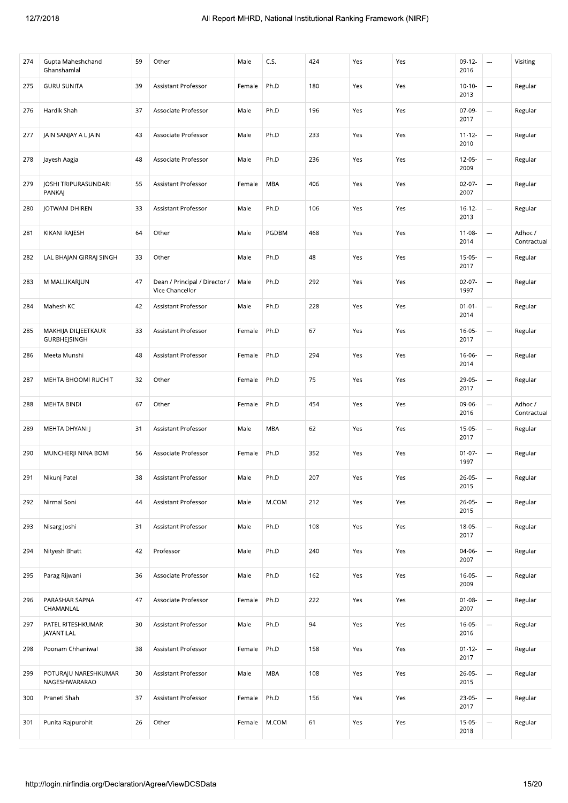| 274 | Gupta Maheshchand<br>Ghanshamlal             | 59 | Other                                            | Male   | C.S.       | 424 | Yes | Yes | $09-12-$<br>2016    | $\overline{\phantom{a}}$ | Visiting               |
|-----|----------------------------------------------|----|--------------------------------------------------|--------|------------|-----|-----|-----|---------------------|--------------------------|------------------------|
| 275 | <b>GURU SUNITA</b>                           | 39 | Assistant Professor                              | Female | Ph.D       | 180 | Yes | Yes | $10-10-$<br>2013    |                          | Regular                |
| 276 | Hardik Shah                                  | 37 | Associate Professor                              | Male   | Ph.D       | 196 | Yes | Yes | 07-09-<br>2017      |                          | Regular                |
| 277 | JAIN SANJAY A L JAIN                         | 43 | Associate Professor                              | Male   | Ph.D       | 233 | Yes | Yes | $11 - 12 -$<br>2010 | ---                      | Regular                |
| 278 | Jayesh Aagja                                 | 48 | Associate Professor                              | Male   | Ph.D       | 236 | Yes | Yes | $12-05-$<br>2009    |                          | Regular                |
| 279 | <b>JOSHI TRIPURASUNDARI</b><br><b>PANKAJ</b> | 55 | Assistant Professor                              | Female | MBA        | 406 | Yes | Yes | $02-07-$<br>2007    |                          | Regular                |
| 280 | JOTWANI DHIREN                               | 33 | Assistant Professor                              | Male   | Ph.D       | 106 | Yes | Yes | $16 - 12 -$<br>2013 | $\overline{\phantom{a}}$ | Regular                |
| 281 | KIKANI RAJESH                                | 64 | Other                                            | Male   | PGDBM      | 468 | Yes | Yes | $11 - 08 -$<br>2014 |                          | Adhoc /<br>Contractual |
| 282 | LAL BHAJAN GIRRAJ SINGH                      | 33 | Other                                            | Male   | Ph.D       | 48  | Yes | Yes | $15-05-$<br>2017    |                          | Regular                |
| 283 | M MALLIKARJUN                                | 47 | Dean / Principal / Director /<br>Vice Chancellor | Male   | Ph.D       | 292 | Yes | Yes | $02-07-$<br>1997    |                          | Regular                |
| 284 | Mahesh KC                                    | 42 | Assistant Professor                              | Male   | Ph.D       | 228 | Yes | Yes | $01 - 01 -$<br>2014 |                          | Regular                |
| 285 | MAKHIJA DILJEETKAUR<br><b>GURBHEJSINGH</b>   | 33 | Assistant Professor                              | Female | Ph.D       | 67  | Yes | Yes | $16 - 05 -$<br>2017 | $\overline{\phantom{a}}$ | Regular                |
| 286 | Meeta Munshi                                 | 48 | Assistant Professor                              | Female | Ph.D       | 294 | Yes | Yes | $16 - 06 -$<br>2014 |                          | Regular                |
| 287 | MEHTA BHOOMI RUCHIT                          | 32 | Other                                            | Female | Ph.D       | 75  | Yes | Yes | 29-05-<br>2017      | $\overline{\phantom{a}}$ | Regular                |
| 288 | <b>MEHTA BINDI</b>                           | 67 | Other                                            | Female | Ph.D       | 454 | Yes | Yes | 09-06-<br>2016      | $\overline{\phantom{a}}$ | Adhoc /<br>Contractual |
| 289 | MEHTA DHYANI J                               | 31 | Assistant Professor                              | Male   | <b>MBA</b> | 62  | Yes | Yes | $15-05-$<br>2017    |                          | Regular                |
| 290 | MUNCHERJI NINA BOMI                          | 56 | Associate Professor                              | Female | Ph.D       | 352 | Yes | Yes | $01 - 07 -$<br>1997 |                          | Regular                |
| 291 | Nikunj Patel                                 | 38 | Assistant Professor                              | Male   | Ph.D       | 207 | Yes | Yes | $26 - 05 -$<br>2015 | ---                      | Regular                |
| 292 | Nirmal Soni                                  | 44 | Assistant Professor                              | Male   | M.COM      | 212 | Yes | Yes | $26 - 05 -$<br>2015 |                          | Regular                |
| 293 | Nisarg Joshi                                 | 31 | Assistant Professor                              | Male   | Ph.D       | 108 | Yes | Yes | 18-05-<br>2017      |                          | Regular                |
| 294 | Nityesh Bhatt                                | 42 | Professor                                        | Male   | Ph.D       | 240 | Yes | Yes | 04-06-<br>2007      | $\overline{\phantom{a}}$ | Regular                |
| 295 | Parag Rijwani                                | 36 | Associate Professor                              | Male   | Ph.D       | 162 | Yes | Yes | $16-05-$<br>2009    |                          | Regular                |
| 296 | PARASHAR SAPNA<br>CHAMANLAL                  | 47 | Associate Professor                              | Female | Ph.D       | 222 | Yes | Yes | $01 - 08 -$<br>2007 | $\overline{\phantom{a}}$ | Regular                |
| 297 | PATEL RITESHKUMAR<br>JAYANTILAL              | 30 | Assistant Professor                              | Male   | Ph.D       | 94  | Yes | Yes | $16 - 05 -$<br>2016 |                          | Regular                |
| 298 | Poonam Chhaniwal                             | 38 | Assistant Professor                              | Female | Ph.D       | 158 | Yes | Yes | $01 - 12 -$<br>2017 | $\overline{\phantom{a}}$ | Regular                |
| 299 | POTURAJU NARESHKUMAR<br>NAGESHWARARAO        | 30 | Assistant Professor                              | Male   | <b>MBA</b> | 108 | Yes | Yes | $26 - 05 -$<br>2015 |                          | Regular                |
| 300 | Praneti Shah                                 | 37 | Assistant Professor                              | Female | Ph.D       | 156 | Yes | Yes | 23-05-<br>2017      |                          | Regular                |
| 301 | Punita Rajpurohit                            | 26 | Other                                            | Female | M.COM      | 61  | Yes | Yes | $15-05-$<br>2018    |                          | Regular                |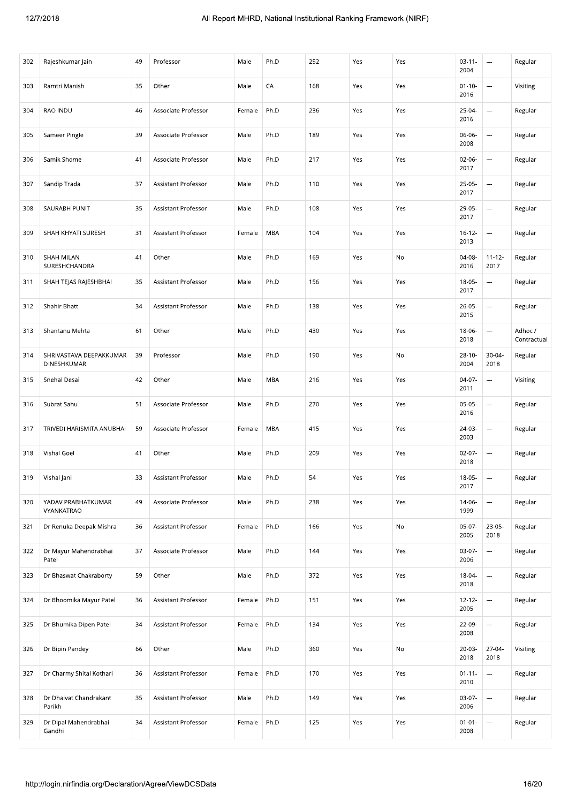| 302 | Rajeshkumar Jain                                         | 49 | Professor           | Male   | Ph.D       | 252 | Yes | Yes | $03 - 11 -$<br>2004 | $\cdots$                 | Regular                |
|-----|----------------------------------------------------------|----|---------------------|--------|------------|-----|-----|-----|---------------------|--------------------------|------------------------|
| 303 | Ramtri Manish                                            | 35 | Other               | Male   | CA         | 168 | Yes | Yes | $01 - 10 -$<br>2016 | $\overline{\phantom{a}}$ | Visiting               |
| 304 | RAO INDU                                                 | 46 | Associate Professor | Female | Ph.D       | 236 | Yes | Yes | 25-04-<br>2016      | $\overline{\phantom{a}}$ | Regular                |
| 305 | Sameer Pingle                                            | 39 | Associate Professor | Male   | Ph.D       | 189 | Yes | Yes | 06-06-<br>2008      | ---                      | Regular                |
| 306 | Samik Shome                                              | 41 | Associate Professor | Male   | Ph.D       | 217 | Yes | Yes | $02-06-$<br>2017    | $\overline{\phantom{a}}$ | Regular                |
| 307 | Sandip Trada                                             | 37 | Assistant Professor | Male   | Ph.D       | 110 | Yes | Yes | $25-05-$<br>2017    |                          | Regular                |
| 308 | SAURABH PUNIT                                            | 35 | Assistant Professor | Male   | Ph.D       | 108 | Yes | Yes | 29-05-<br>2017      | ---                      | Regular                |
| 309 | SHAH KHYATI SURESH                                       | 31 | Assistant Professor | Female | MBA        | 104 | Yes | Yes | $16 - 12 -$<br>2013 | ---                      | Regular                |
| 310 | SHAH MILAN<br>SURESHCHANDRA                              | 41 | Other               | Male   | Ph.D       | 169 | Yes | No  | 04-08-<br>2016      | $11 - 12 -$<br>2017      | Regular                |
| 311 | SHAH TEJAS RAJESHBHAI                                    | 35 | Assistant Professor | Male   | Ph.D       | 156 | Yes | Yes | $18-05-$<br>2017    | $\hspace{0.05cm}\ldots$  | Regular                |
| 312 | Shahir Bhatt                                             | 34 | Assistant Professor | Male   | Ph.D       | 138 | Yes | Yes | $26-05-$<br>2015    | ---                      | Regular                |
| 313 | Shantanu Mehta                                           | 61 | Other               | Male   | Ph.D       | 430 | Yes | Yes | 18-06-<br>2018      | $\cdots$                 | Adhoc /<br>Contractual |
| 314 | SHRIVASTAVA DEEPAKKUMAR<br>DINESHKUMAR                   | 39 | Professor           | Male   | Ph.D       | 190 | Yes | No  | $28 - 10 -$<br>2004 | $30 - 04 -$<br>2018      | Regular                |
| 315 | Snehal Desai                                             | 42 | Other               | Male   | <b>MBA</b> | 216 | Yes | Yes | $04-07-$<br>2011    | $\overline{\phantom{a}}$ | Visiting               |
| 316 | Subrat Sahu                                              | 51 | Associate Professor | Male   | Ph.D       | 270 | Yes | Yes | $05-05-$<br>2016    | $\cdots$                 | Regular                |
| 317 | TRIVEDI HARISMITA ANUBHAI                                | 59 | Associate Professor | Female | MBA        | 415 | Yes | Yes | 24-03-<br>2003      | $\overline{\phantom{a}}$ | Regular                |
| 318 | Vishal Goel                                              | 41 | Other               | Male   | Ph.D       | 209 | Yes | Yes | $02-07-$<br>2018    | $\overline{\phantom{a}}$ | Regular                |
| 319 | Vishal Jani                                              | 33 | Assistant Professor | Male   | Ph.D       | 54  | Yes | Yes | 18-05-<br>2017      | $\overline{\phantom{a}}$ | Regular                |
| 320 | YADAV PRABHATKUMAR<br>VYANKATRAO                         | 49 | Associate Professor | Male   | Ph.D       | 238 | Yes | Yes | 14-06-<br>1999      | $\overline{\phantom{a}}$ | Regular                |
| 321 | Dr Renuka Deepak Mishra                                  | 36 | Assistant Professor | Female | Ph.D       | 166 | Yes | No  | $05-07-$<br>2005    | $23 - 05 -$<br>2018      | Regular                |
| 322 | Dr Mayur Mahendrabhai<br>Patel                           | 37 | Associate Professor | Male   | Ph.D       | 144 | Yes | Yes | 03-07-<br>2006      | $\overline{\phantom{a}}$ | Regular                |
| 323 | Dr Bhaswat Chakraborty                                   | 59 | Other               | Male   | Ph.D       | 372 | Yes | Yes | $18 - 04 -$<br>2018 |                          | Regular                |
| 324 | Dr Bhoomika Mayur Patel                                  | 36 | Assistant Professor | Female | Ph.D       | 151 | Yes | Yes | $12 - 12 -$<br>2005 |                          | Regular                |
| 325 | Dr Bhumika Dipen Patel                                   | 34 | Assistant Professor | Female | Ph.D       | 134 | Yes | Yes | $22-09-$<br>2008    | $\cdots$                 | Regular                |
| 326 | Dr Bipin Pandey                                          | 66 | Other               | Male   | Ph.D       | 360 | Yes | No  | 20-03-<br>2018      | 27-04-<br>2018           | Visiting               |
| 327 | Dr Charmy Shital Kothari                                 | 36 | Assistant Professor | Female | Ph.D       | 170 | Yes | Yes | $01 - 11 -$<br>2010 |                          | Regular                |
| 328 | Dr Dhaivat Chandrakant<br>Parikh                         | 35 | Assistant Professor | Male   | Ph.D       | 149 | Yes | Yes | $03-07-$<br>2006    |                          | Regular                |
| 329 | Dr Dipal Mahendrabhai<br>Gandhi                          | 34 | Assistant Professor | Female | Ph.D       | 125 | Yes | Yes | $01 - 01 -$<br>2008 |                          | Regular                |
|     | http://login.nirfindia.org/Declaration/Agree/ViewDCSData |    |                     |        |            |     |     |     |                     |                          | 16/20                  |
|     |                                                          |    |                     |        |            |     |     |     |                     |                          |                        |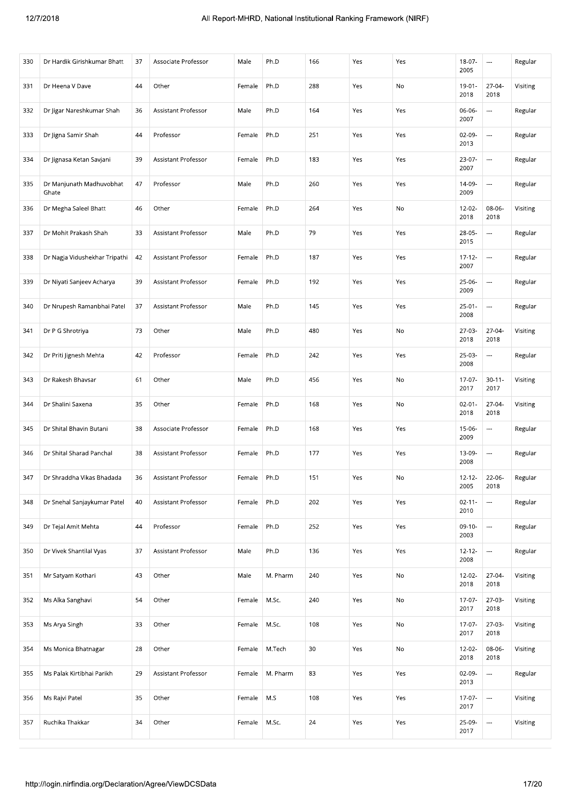| 330 | Dr Hardik Girishkumar Bhatt                                       | 37 | Associate Professor | Male   | Ph.D     | 166 | Yes | Yes | 18-07-<br>2005      | $\cdots$                 | Regular  |
|-----|-------------------------------------------------------------------|----|---------------------|--------|----------|-----|-----|-----|---------------------|--------------------------|----------|
| 331 | Dr Heena V Dave                                                   | 44 | Other               | Female | Ph.D     | 288 | Yes | No  | $19 - 01 -$<br>2018 | 27-04-<br>2018           | Visiting |
| 332 | Dr Jigar Nareshkumar Shah                                         | 36 | Assistant Professor | Male   | Ph.D     | 164 | Yes | Yes | 06-06-<br>2007      | $\overline{\phantom{a}}$ | Regular  |
| 333 | Dr Jigna Samir Shah                                               | 44 | Professor           | Female | Ph.D     | 251 | Yes | Yes | $02-09-$<br>2013    | $\overline{\phantom{a}}$ | Regular  |
| 334 | Dr Jignasa Ketan Savjani                                          | 39 | Assistant Professor | Female | Ph.D     | 183 | Yes | Yes | 23-07-<br>2007      | $\overline{\phantom{a}}$ | Regular  |
| 335 | Dr Manjunath Madhuvobhat<br>Ghate                                 | 47 | Professor           | Male   | Ph.D     | 260 | Yes | Yes | 14-09-<br>2009      | $\cdots$                 | Regular  |
| 336 | Dr Megha Saleel Bhatt                                             | 46 | Other               | Female | Ph.D     | 264 | Yes | No  | 12-02-<br>2018      | 08-06-<br>2018           | Visiting |
| 337 | Dr Mohit Prakash Shah                                             | 33 | Assistant Professor | Male   | Ph.D     | 79  | Yes | Yes | 28-05-<br>2015      | $\overline{\phantom{a}}$ | Regular  |
| 338 | Dr Nagja Vidushekhar Tripathi                                     | 42 | Assistant Professor | Female | Ph.D     | 187 | Yes | Yes | $17 - 12 -$<br>2007 | $\overline{\phantom{a}}$ | Regular  |
| 339 | Dr Niyati Sanjeev Acharya                                         | 39 | Assistant Professor | Female | Ph.D     | 192 | Yes | Yes | 25-06-<br>2009      | $\overline{\phantom{a}}$ | Regular  |
| 340 | Dr Nrupesh Ramanbhai Patel                                        | 37 | Assistant Professor | Male   | Ph.D     | 145 | Yes | Yes | $25-01-$<br>2008    | ---                      | Regular  |
| 341 | Dr P G Shrotriya                                                  | 73 | Other               | Male   | Ph.D     | 480 | Yes | No  | 27-03-<br>2018      | 27-04-<br>2018           | Visiting |
| 342 | Dr Priti Jignesh Mehta                                            | 42 | Professor           | Female | Ph.D     | 242 | Yes | Yes | $25-03-$<br>2008    |                          | Regular  |
| 343 | Dr Rakesh Bhavsar                                                 | 61 | Other               | Male   | Ph.D     | 456 | Yes | No  | $17-07-$<br>2017    | $30 - 11 -$<br>2017      | Visiting |
| 344 | Dr Shalini Saxena                                                 | 35 | Other               | Female | Ph.D     | 168 | Yes | No  | $02 - 01 -$<br>2018 | 27-04-<br>2018           | Visiting |
| 345 | Dr Shital Bhavin Butani                                           | 38 | Associate Professor | Female | Ph.D     | 168 | Yes | Yes | 15-06-<br>2009      | $\overline{\phantom{a}}$ | Regular  |
| 346 | Dr Shital Sharad Panchal                                          | 38 | Assistant Professor | Female | Ph.D     | 177 | Yes | Yes | 13-09-<br>2008      | $\cdots$                 | Regular  |
| 347 | Dr Shraddha Vikas Bhadada                                         | 36 | Assistant Professor | Female | Ph.D     | 151 | Yes | No  | $12 - 12 -$<br>2005 | 22-06-<br>2018           | Regular  |
| 348 | Dr Snehal Sanjaykumar Patel                                       | 40 | Assistant Professor | Female | Ph.D     | 202 | Yes | Yes | $02 - 11 -$<br>2010 | ---                      | Regular  |
| 349 | Dr Tejal Amit Mehta                                               | 44 | Professor           | Female | Ph.D     | 252 | Yes | Yes | $09-10-$<br>2003    | $\overline{\phantom{a}}$ | Regular  |
| 350 | Dr Vivek Shantilal Vyas                                           | 37 | Assistant Professor | Male   | Ph.D     | 136 | Yes | Yes | $12 - 12 -$<br>2008 | ---                      | Regular  |
| 351 | Mr Satyam Kothari                                                 | 43 | Other               | Male   | M. Pharm | 240 | Yes | No  | 12-02-<br>2018      | 27-04-<br>2018           | Visiting |
| 352 | Ms Alka Sanghavi                                                  | 54 | Other               | Female | M.Sc.    | 240 | Yes | No  | 17-07-<br>2017      | 27-03-<br>2018           | Visiting |
| 353 | Ms Arya Singh                                                     | 33 | Other               | Female | M.Sc.    | 108 | Yes | No  | $17-07-$<br>2017    | $27-03-$<br>2018         | Visiting |
| 354 | Ms Monica Bhatnagar                                               | 28 | Other               | Female | M.Tech   | 30  | Yes | No  | $12 - 02 -$<br>2018 | 08-06-<br>2018           | Visiting |
| 355 | Ms Palak Kirtibhai Parikh                                         | 29 | Assistant Professor | Female | M. Pharm | 83  | Yes | Yes | $02-09-$<br>2013    |                          | Regular  |
| 356 | Ms Rajvi Patel                                                    | 35 | Other               | Female | M.S      | 108 | Yes | Yes | 17-07-<br>2017      |                          | Visiting |
| 357 | Ruchika Thakkar                                                   | 34 | Other               | Female | M.Sc.    | 24  | Yes | Yes | 25-09-<br>2017      |                          | Visiting |
|     | 17/20<br>http://login.nirfindia.org/Declaration/Agree/ViewDCSData |    |                     |        |          |     |     |     |                     |                          |          |
|     |                                                                   |    |                     |        |          |     |     |     |                     |                          |          |
|     |                                                                   |    |                     |        |          |     |     |     |                     |                          |          |
|     |                                                                   |    |                     |        |          |     |     |     |                     |                          |          |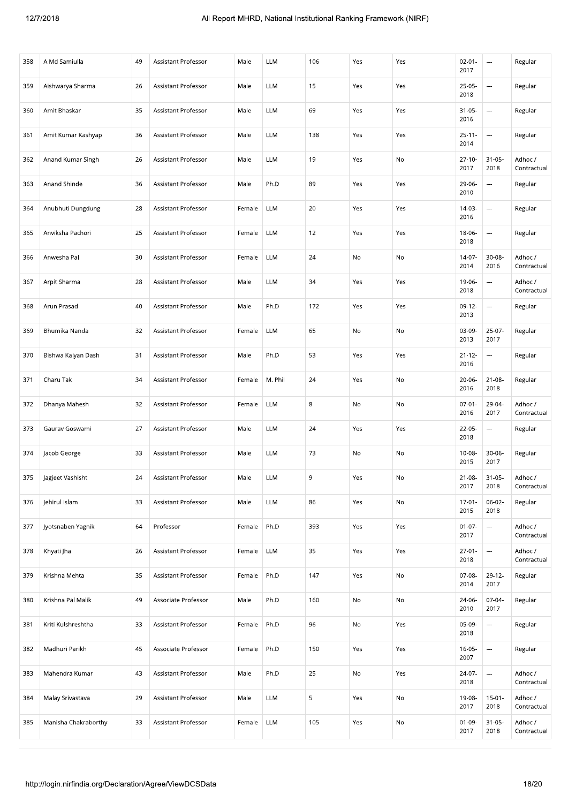| 358 | A Md Samiulla        | 49 | Assistant Professor        | Male   | LLM        | 106 | Yes | Yes | $02 - 01 -$<br>2017 | $\cdots$                 | Regular                |
|-----|----------------------|----|----------------------------|--------|------------|-----|-----|-----|---------------------|--------------------------|------------------------|
| 359 | Aishwarya Sharma     | 26 | <b>Assistant Professor</b> | Male   | <b>LLM</b> | 15  | Yes | Yes | $25-05-$<br>2018    | $\overline{\phantom{a}}$ | Regular                |
| 360 | Amit Bhaskar         | 35 | Assistant Professor        | Male   | <b>LLM</b> | 69  | Yes | Yes | $31 - 05 -$<br>2016 | $\ldots$                 | Regular                |
| 361 | Amit Kumar Kashyap   | 36 | Assistant Professor        | Male   | <b>LLM</b> | 138 | Yes | Yes | $25 - 11 -$<br>2014 | $\cdots$                 | Regular                |
| 362 | Anand Kumar Singh    | 26 | Assistant Professor        | Male   | <b>LLM</b> | 19  | Yes | No  | $27 - 10 -$<br>2017 | $31 - 05 -$<br>2018      | Adhoc /<br>Contractual |
| 363 | Anand Shinde         | 36 | Assistant Professor        | Male   | Ph.D       | 89  | Yes | Yes | 29-06-<br>2010      | ---                      | Regular                |
| 364 | Anubhuti Dungdung    | 28 | Assistant Professor        | Female | LLM        | 20  | Yes | Yes | 14-03-<br>2016      | $\overline{\phantom{a}}$ | Regular                |
| 365 | Anviksha Pachori     | 25 | Assistant Professor        | Female | <b>LLM</b> | 12  | Yes | Yes | 18-06-<br>2018      | $\cdots$                 | Regular                |
| 366 | Anwesha Pal          | 30 | Assistant Professor        | Female | LLM        | 24  | No  | No  | 14-07-<br>2014      | $30 - 08$<br>2016        | Adhoc /<br>Contractual |
| 367 | Arpit Sharma         | 28 | Assistant Professor        | Male   | <b>LLM</b> | 34  | Yes | Yes | 19-06-<br>2018      | ---                      | Adhoc /<br>Contractual |
| 368 | Arun Prasad          | 40 | Assistant Professor        | Male   | Ph.D       | 172 | Yes | Yes | $09-12-$<br>2013    | $\ldots$                 | Regular                |
| 369 | Bhumika Nanda        | 32 | Assistant Professor        | Female | <b>LLM</b> | 65  | No  | No  | 03-09-<br>2013      | $25-07-$<br>2017         | Regular                |
| 370 | Bishwa Kalyan Dash   | 31 | Assistant Professor        | Male   | Ph.D       | 53  | Yes | Yes | $21 - 12 -$<br>2016 | $\cdots$                 | Regular                |
| 371 | Charu Tak            | 34 | Assistant Professor        | Female | M. Phil    | 24  | Yes | No  | $20 - 06$<br>2016   | $21 - 08 -$<br>2018      | Regular                |
| 372 | Dhanya Mahesh        | 32 | Assistant Professor        | Female | LLM        | 8   | No  | No  | $07-01-$<br>2016    | 29-04-<br>2017           | Adhoc /<br>Contractual |
| 373 | Gaurav Goswami       | 27 | Assistant Professor        | Male   | <b>LLM</b> | 24  | Yes | Yes | 22-05-<br>2018      | $\overline{\phantom{a}}$ | Regular                |
| 374 | Jacob George         | 33 | Assistant Professor        | Male   | LLM        | 73  | No  | No  | $10 - 08 -$<br>2015 | $30 - 06 -$<br>2017      | Regular                |
| 375 | Jagjeet Vashisht     | 24 | Assistant Professor        | Male   | LLM        | 9   | Yes | No  | $21 - 08 -$<br>2017 | $31 - 05 -$<br>2018      | Adhoc /<br>Contractual |
| 376 | Jehirul Islam        | 33 | Assistant Professor        | Male   | <b>LLM</b> | 86  | Yes | No  | $17-01$<br>2015     | $06 - 02 -$<br>2018      | Regular                |
| 377 | Jyotsnaben Yagnik    | 64 | Professor                  | Female | Ph.D       | 393 | Yes | Yes | $01-07-$<br>2017    | $\overline{\phantom{a}}$ | Adhoc /<br>Contractual |
| 378 | Khyati Jha           | 26 | Assistant Professor        | Female | LLM        | 35  | Yes | Yes | $27 - 01 -$<br>2018 | $\cdots$                 | Adhoc /<br>Contractual |
| 379 | Krishna Mehta        | 35 | <b>Assistant Professor</b> | Female | Ph.D       | 147 | Yes | No  | $07-08-$<br>2014    | 29-12-<br>2017           | Regular                |
| 380 | Krishna Pal Malik    | 49 | Associate Professor        | Male   | Ph.D       | 160 | No  | No  | 24-06-<br>2010      | $07-04-$<br>2017         | Regular                |
| 381 | Kriti Kulshreshtha   | 33 | Assistant Professor        | Female | Ph.D       | 96  | No  | Yes | 05-09-<br>2018      | $\ldots$                 | Regular                |
| 382 | Madhuri Parikh       | 45 | Associate Professor        | Female | Ph.D       | 150 | Yes | Yes | $16-05-$<br>2007    | $\overline{\phantom{a}}$ | Regular                |
| 383 | Mahendra Kumar       | 43 | Assistant Professor        | Male   | Ph.D       | 25  | No  | Yes | 24-07-<br>2018      | $\ldots$                 | Adhoc /<br>Contractual |
| 384 | Malay Srivastava     | 29 | Assistant Professor        | Male   | LLM        | 5   | Yes | No  | 19-08-<br>2017      | $15 - 01 -$<br>2018      | Adhoc /<br>Contractual |
| 385 | Manisha Chakraborthy | 33 | Assistant Professor        | Female | LLM        | 105 | Yes | No  | $01-09-$<br>2017    | $31 - 05 -$<br>2018      | Adhoc /<br>Contractual |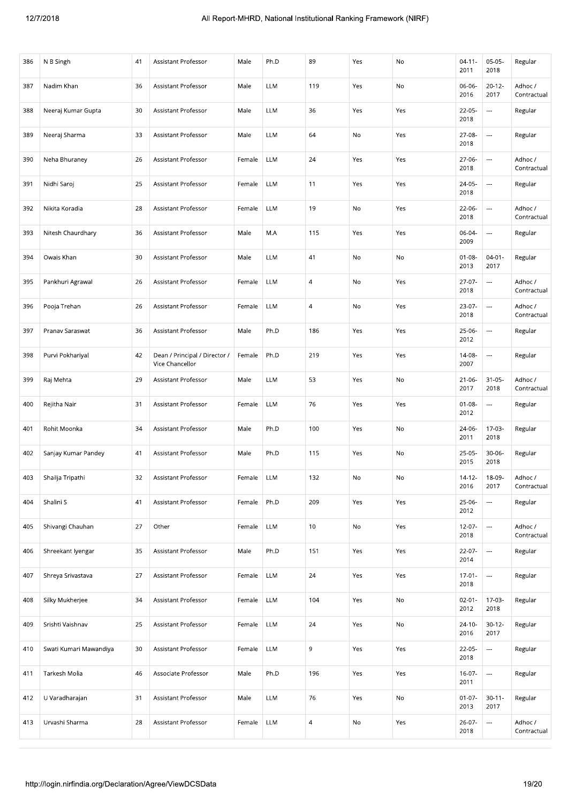| 386 | N B Singh                                                | 41 | Assistant Professor                              | Male   | Ph.D       | 89             | Yes | No  | $04 - 11$<br>2011   | $05-05-$<br>2018         | Regular                |
|-----|----------------------------------------------------------|----|--------------------------------------------------|--------|------------|----------------|-----|-----|---------------------|--------------------------|------------------------|
| 387 | Nadim Khan                                               | 36 | <b>Assistant Professor</b>                       | Male   | <b>LLM</b> | 119            | Yes | No  | 06-06-<br>2016      | $20 - 12$<br>2017        | Adhoc /<br>Contractual |
| 388 | Neeraj Kumar Gupta                                       | 30 | Assistant Professor                              | Male   | <b>LLM</b> | 36             | Yes | Yes | $22-05-$<br>2018    | $\ldots$                 | Regular                |
| 389 | Neeraj Sharma                                            | 33 | Assistant Professor                              | Male   | <b>LLM</b> | 64             | No  | Yes | 27-08-<br>2018      | $\cdots$                 | Regular                |
| 390 | Neha Bhuraney                                            | 26 | Assistant Professor                              | Female | <b>LLM</b> | 24             | Yes | Yes | 27-06-<br>2018      | $\overline{a}$           | Adhoc /<br>Contractual |
| 391 | Nidhi Saroj                                              | 25 | Assistant Professor                              | Female | <b>LLM</b> | 11             | Yes | Yes | 24-05-<br>2018      | $\ldots$                 | Regular                |
| 392 | Nikita Koradia                                           | 28 | Assistant Professor                              | Female | LLM        | 19             | No  | Yes | 22-06-<br>2018      | $\overline{\phantom{a}}$ | Adhoc /<br>Contractual |
| 393 | Nitesh Chaurdhary                                        | 36 | Assistant Professor                              | Male   | M.A        | 115            | Yes | Yes | 06-04-<br>2009      | $\ldots$                 | Regular                |
| 394 | Owais Khan                                               | 30 | Assistant Professor                              | Male   | LLM        | 41             | No  | No  | $01 - 08 -$<br>2013 | $04 - 01 -$<br>2017      | Regular                |
| 395 | Pankhuri Agrawal                                         | 26 | Assistant Professor                              | Female | LLM        | $\overline{4}$ | No  | Yes | $27-07-$<br>2018    | $\ldots$                 | Adhoc /<br>Contractual |
| 396 | Pooja Trehan                                             | 26 | Assistant Professor                              | Female | LLM        | $\overline{4}$ | No  | Yes | $23-07-$<br>2018    | $\ldots$                 | Adhoc /<br>Contractual |
| 397 | Pranav Saraswat                                          | 36 | Assistant Professor                              | Male   | Ph.D       | 186            | Yes | Yes | 25-06-<br>2012      | $\cdots$                 | Regular                |
| 398 | Purvi Pokhariyal                                         | 42 | Dean / Principal / Director /<br>Vice Chancellor | Female | Ph.D       | 219            | Yes | Yes | $14-08-$<br>2007    | $\overline{\phantom{a}}$ | Regular                |
| 399 | Raj Mehta                                                | 29 | Assistant Professor                              | Male   | <b>LLM</b> | 53             | Yes | No  | $21 - 06 -$<br>2017 | $31 - 05 -$<br>2018      | Adhoc /<br>Contractual |
| 400 | Rejitha Nair                                             | 31 | Assistant Professor                              | Female | <b>LLM</b> | 76             | Yes | Yes | $01 - 08 -$<br>2012 | $\cdots$                 | Regular                |
| 401 | Rohit Moonka                                             | 34 | Assistant Professor                              | Male   | Ph.D       | 100            | Yes | No  | 24-06-<br>2011      | 17-03-<br>2018           | Regular                |
| 402 | Sanjay Kumar Pandey                                      | 41 | Assistant Professor                              | Male   | Ph.D       | 115            | Yes | No  | $25-05-$<br>2015    | $30 - 06 -$<br>2018      | Regular                |
| 403 | Shailja Tripathi                                         | 32 | Assistant Professor                              | Female | LLM        | 132            | No  | No  | $14-12-$<br>2016    | 18-09-<br>2017           | Adhoc /<br>Contractual |
| 404 | Shalini S                                                | 41 | Assistant Professor                              | Female | Ph.D       | 209            | Yes | Yes | $25-06-$<br>2012    | $\ldots$                 | Regular                |
| 405 | Shivangi Chauhan                                         | 27 | Other                                            | Female | LLM        | 10             | No  | Yes | $12 - 07 -$<br>2018 | $\overline{\phantom{a}}$ | Adhoc /<br>Contractual |
| 406 | Shreekant Iyengar                                        | 35 | Assistant Professor                              | Male   | Ph.D       | 151            | Yes | Yes | $22 - 07 -$<br>2014 | $\overline{\phantom{a}}$ | Regular                |
| 407 | Shreya Srivastava                                        | 27 | Assistant Professor                              | Female | <b>LLM</b> | 24             | Yes | Yes | $17-01-$<br>2018    | $\ldots$                 | Regular                |
| 408 | Silky Mukherjee                                          | 34 | Assistant Professor                              | Female | <b>LLM</b> | 104            | Yes | No  | $02 - 01 -$<br>2012 | 17-03-<br>2018           | Regular                |
| 409 | Srishti Vaishnav                                         | 25 | Assistant Professor                              | Female | <b>LLM</b> | 24             | Yes | No  | $24-10-$<br>2016    | $30 - 12 -$<br>2017      | Regular                |
| 410 | Swati Kumari Mawandiya                                   | 30 | Assistant Professor                              | Female | LLM        | 9              | Yes | Yes | 22-05-<br>2018      | $\overline{\phantom{a}}$ | Regular                |
| 411 | Tarkesh Molia                                            | 46 | Associate Professor                              | Male   | Ph.D       | 196            | Yes | Yes | $16-07-$<br>2011    | $\ldots$                 | Regular                |
| 412 | U Varadharajan                                           | 31 | Assistant Professor                              | Male   | <b>LLM</b> | 76             | Yes | No  | $01-07-$<br>2013    | $30 - 11 -$<br>2017      | Regular                |
| 413 | Urvashi Sharma                                           | 28 | Assistant Professor                              | Female | <b>LLM</b> | $\overline{a}$ | No  | Yes | $26-07-$<br>2018    | $\cdots$                 | Adhoc /<br>Contractual |
|     |                                                          |    |                                                  |        |            |                |     |     |                     |                          |                        |
|     | http://login.nirfindia.org/Declaration/Agree/ViewDCSData |    |                                                  |        |            |                |     |     |                     |                          | 19/20                  |
|     |                                                          |    |                                                  |        |            |                |     |     |                     |                          |                        |
|     |                                                          |    |                                                  |        |            |                |     |     |                     |                          |                        |